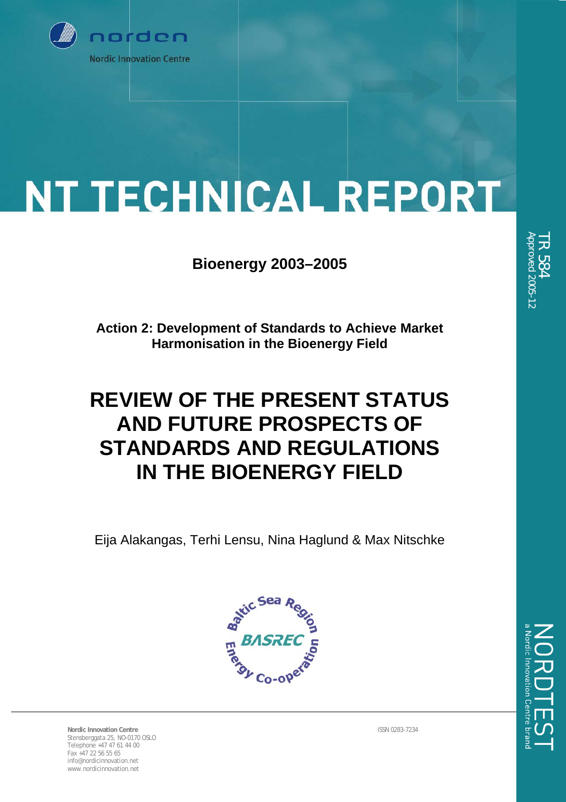

# **NT TECHNICAL REPORT**

**Bioenergy 2003–2005** 

**Action 2: Development of Standards to Achieve Market Harmonisation in the Bioenergy Field** 

# **REVIEW OF THE PRESENT STATUS AND FUTURE PROSPECTS OF STANDARDS AND REGULATIONS IN THE BIOENERGY FIELD**

Eija Alakangas, Terhi Lensu, Nina Haglund & Max Nitschke



**Nordic Innovation Centre** ISSN 0283-7234 Stensberggata 25, NO-0170 OSLO Telephone +47 47 61 44 00 Fax +47 22 56 55 65 info@nordicinnovation.net www.nordicinnovation.net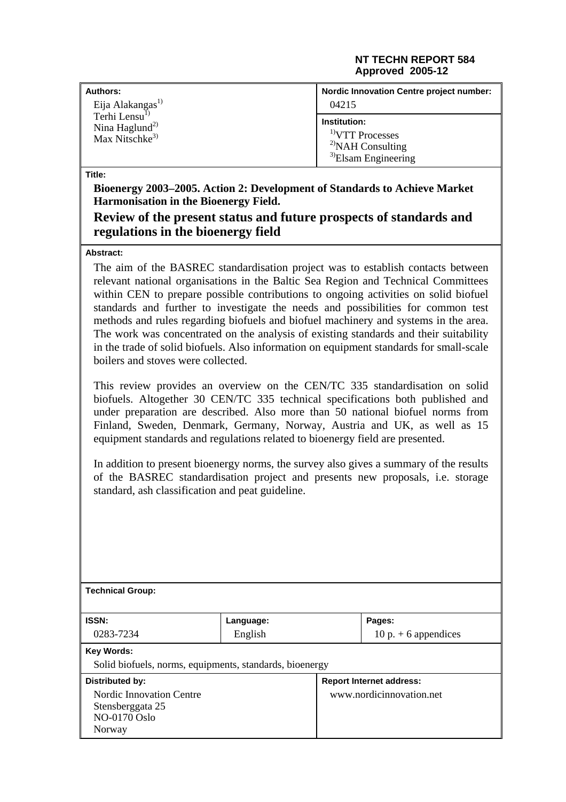#### **NT TECHN REPORT 584 Approved 2005-12**

| <b>Authors:</b>                                                                       | <b>Nordic Innovation Centre project number:</b>                                            |
|---------------------------------------------------------------------------------------|--------------------------------------------------------------------------------------------|
| Eija Alakangas <sup>1)</sup>                                                          | 04215                                                                                      |
| Terhi Lensu <sup>1)</sup><br>Nina Haglund <sup>2)</sup><br>Max Nitschke <sup>3)</sup> | Institution:<br>$1$ VTT Processes<br><sup>2)</sup> NAH Consulting<br>$3$ Elsam Engineering |

**Title:** 

**Bioenergy 2003–2005. Action 2: Development of Standards to Achieve Market Harmonisation in the Bioenergy Field.** 

#### **Review of the present status and future prospects of standards and regulations in the bioenergy field**

#### **Abstract:**

The aim of the BASREC standardisation project was to establish contacts between relevant national organisations in the Baltic Sea Region and Technical Committees within CEN to prepare possible contributions to ongoing activities on solid biofuel standards and further to investigate the needs and possibilities for common test methods and rules regarding biofuels and biofuel machinery and systems in the area. The work was concentrated on the analysis of existing standards and their suitability in the trade of solid biofuels. Also information on equipment standards for small-scale boilers and stoves were collected.

This review provides an overview on the CEN/TC 335 standardisation on solid biofuels. Altogether 30 CEN/TC 335 technical specifications both published and under preparation are described. Also more than 50 national biofuel norms from Finland, Sweden, Denmark, Germany, Norway, Austria and UK, as well as 15 equipment standards and regulations related to bioenergy field are presented.

In addition to present bioenergy norms, the survey also gives a summary of the results of the BASREC standardisation project and presents new proposals, i.e. storage standard, ash classification and peat guideline.

| <b>Technical Group:</b>                                                       |           |  |                                 |
|-------------------------------------------------------------------------------|-----------|--|---------------------------------|
| <b>ISSN:</b>                                                                  | Language: |  | Pages:                          |
| 0283-7234                                                                     | English   |  | 10 p. $+$ 6 appendices          |
| <b>Key Words:</b><br>Solid biofuels, norms, equipments, standards, bioenergy  |           |  |                                 |
| Distributed by:                                                               |           |  | <b>Report Internet address:</b> |
| Nordic Innovation Centre<br>Stensberggata 25<br><b>NO-0170 Oslo</b><br>Norway |           |  | www.nordicinnovation.net        |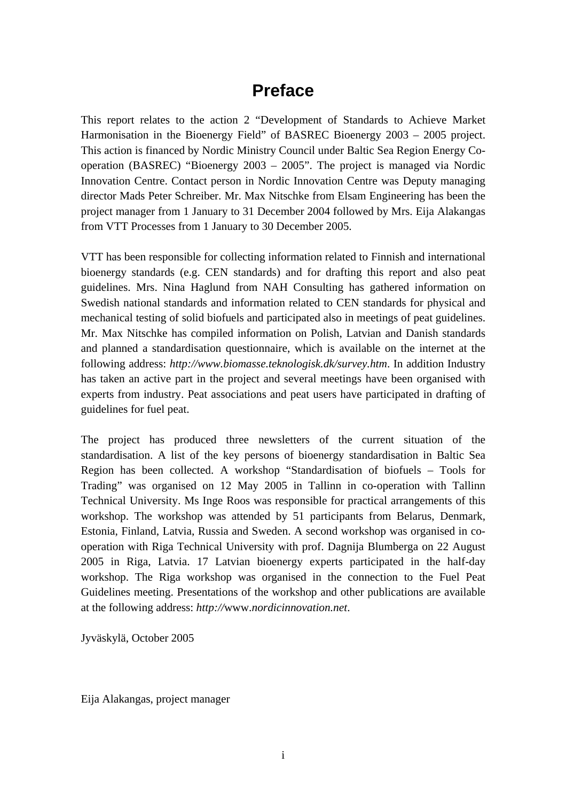# **Preface**

This report relates to the action 2 "Development of Standards to Achieve Market Harmonisation in the Bioenergy Field" of BASREC Bioenergy 2003 – 2005 project. This action is financed by Nordic Ministry Council under Baltic Sea Region Energy Cooperation (BASREC) "Bioenergy 2003 – 2005". The project is managed via Nordic Innovation Centre. Contact person in Nordic Innovation Centre was Deputy managing director Mads Peter Schreiber. Mr. Max Nitschke from Elsam Engineering has been the project manager from 1 January to 31 December 2004 followed by Mrs. Eija Alakangas from VTT Processes from 1 January to 30 December 2005.

VTT has been responsible for collecting information related to Finnish and international bioenergy standards (e.g. CEN standards) and for drafting this report and also peat guidelines. Mrs. Nina Haglund from NAH Consulting has gathered information on Swedish national standards and information related to CEN standards for physical and mechanical testing of solid biofuels and participated also in meetings of peat guidelines. Mr. Max Nitschke has compiled information on Polish, Latvian and Danish standards and planned a standardisation questionnaire, which is available on the internet at the following address: *http://www.biomasse.teknologisk.dk/survey.htm*. In addition Industry has taken an active part in the project and several meetings have been organised with experts from industry. Peat associations and peat users have participated in drafting of guidelines for fuel peat.

The project has produced three newsletters of the current situation of the standardisation. A list of the key persons of bioenergy standardisation in Baltic Sea Region has been collected. A workshop "Standardisation of biofuels – Tools for Trading" was organised on 12 May 2005 in Tallinn in co-operation with Tallinn Technical University. Ms Inge Roos was responsible for practical arrangements of this workshop. The workshop was attended by 51 participants from Belarus, Denmark, Estonia, Finland, Latvia, Russia and Sweden. A second workshop was organised in cooperation with Riga Technical University with prof. Dagnija Blumberga on 22 August 2005 in Riga, Latvia. 17 Latvian bioenergy experts participated in the half-day workshop. The Riga workshop was organised in the connection to the Fuel Peat Guidelines meeting. Presentations of the workshop and other publications are available at the following address: *http://*www.*nordicinnovation.net*.

Jyväskylä, October 2005

Eija Alakangas, project manager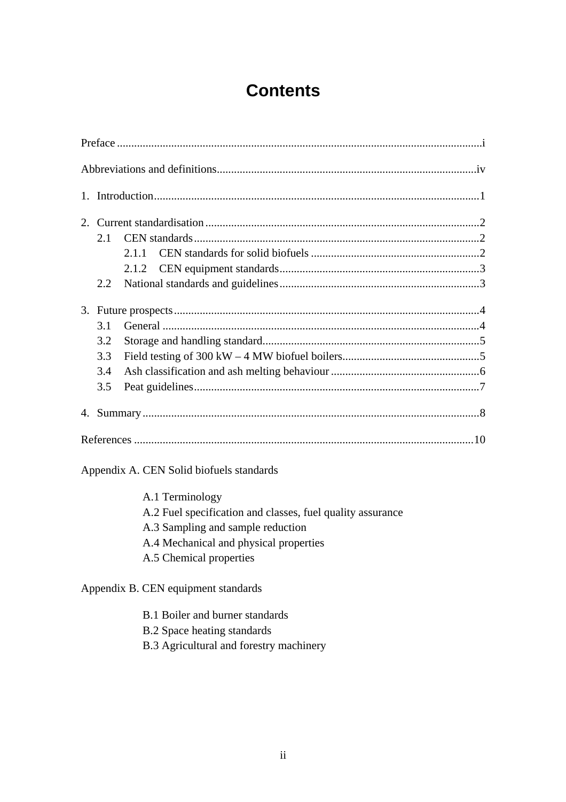# **Contents**

|    | 2.1 |       |  |
|----|-----|-------|--|
|    |     | 2.1.1 |  |
|    |     |       |  |
|    | 2.2 |       |  |
|    |     |       |  |
|    | 3.1 |       |  |
|    | 3.2 |       |  |
|    | 3.3 |       |  |
|    | 3.4 |       |  |
|    | 3.5 |       |  |
| 4. |     |       |  |
|    |     |       |  |

Appendix A. CEN Solid biofuels standards

A.1 Terminology A.2 Fuel specification and classes, fuel quality assurance A.3 Sampling and sample reduction A.4 Mechanical and physical properties A.5 Chemical properties

Appendix B. CEN equipment standards

- B.1 Boiler and burner standards
- B.2 Space heating standards
- B.3 Agricultural and forestry machinery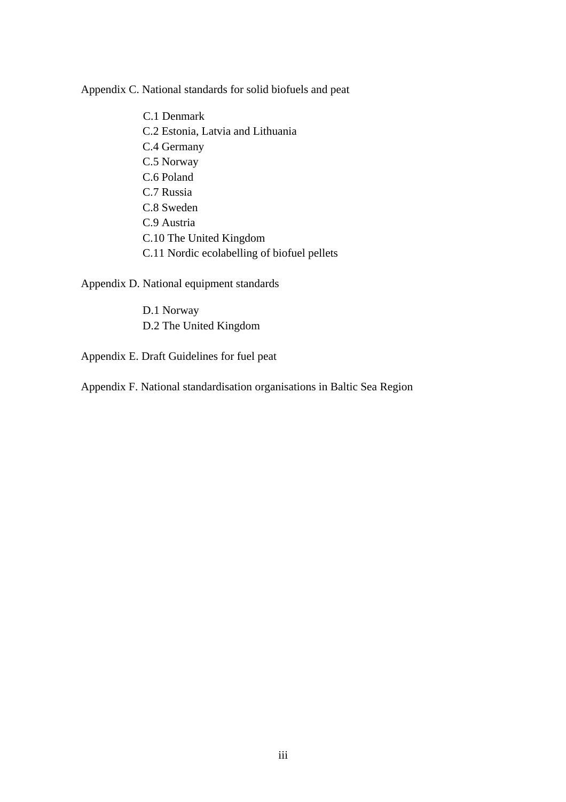Appendix C. National standards for solid biofuels and peat

C.1 Denmark C.2 Estonia, Latvia and Lithuania C.4 Germany C.5 Norway C.6 Poland C.7 Russia C.8 Sweden C.9 Austria C.10 The United Kingdom C.11 Nordic ecolabelling of biofuel pellets

Appendix D. National equipment standards

D.1 Norway D.2 The United Kingdom

Appendix E. Draft Guidelines for fuel peat

Appendix F. National standardisation organisations in Baltic Sea Region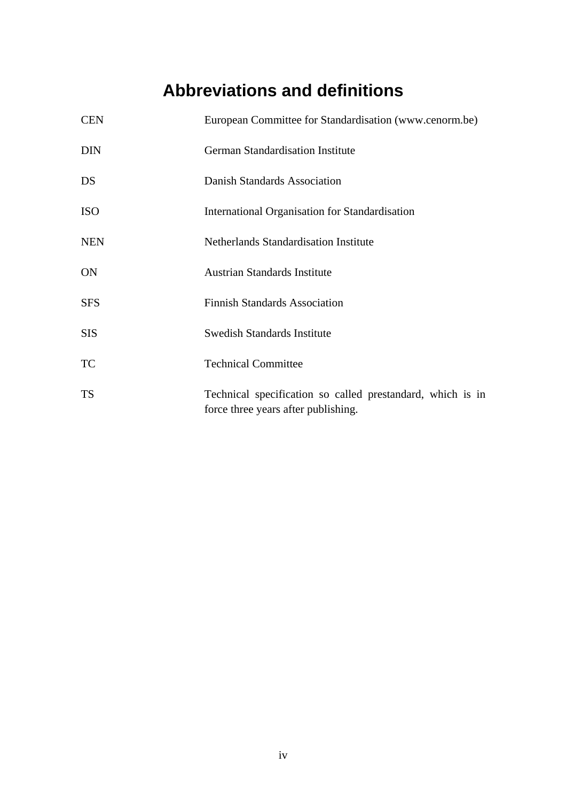# **Abbreviations and definitions**

| <b>CEN</b> | European Committee for Standardisation (www.cenorm.be)                                            |
|------------|---------------------------------------------------------------------------------------------------|
| <b>DIN</b> | German Standardisation Institute                                                                  |
| DS         | Danish Standards Association                                                                      |
| <b>ISO</b> | International Organisation for Standardisation                                                    |
| <b>NEN</b> | Netherlands Standardisation Institute                                                             |
| <b>ON</b>  | <b>Austrian Standards Institute</b>                                                               |
| <b>SFS</b> | <b>Finnish Standards Association</b>                                                              |
| <b>SIS</b> | <b>Swedish Standards Institute</b>                                                                |
| <b>TC</b>  | <b>Technical Committee</b>                                                                        |
| <b>TS</b>  | Technical specification so called prestandard, which is in<br>force three years after publishing. |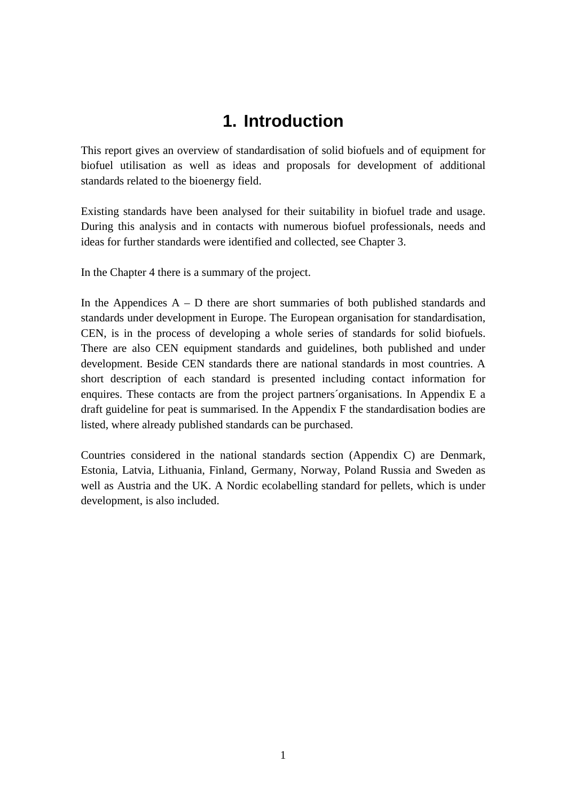# **1. Introduction**

This report gives an overview of standardisation of solid biofuels and of equipment for biofuel utilisation as well as ideas and proposals for development of additional standards related to the bioenergy field.

Existing standards have been analysed for their suitability in biofuel trade and usage. During this analysis and in contacts with numerous biofuel professionals, needs and ideas for further standards were identified and collected, see Chapter 3.

In the Chapter 4 there is a summary of the project.

In the Appendices  $A - D$  there are short summaries of both published standards and standards under development in Europe. The European organisation for standardisation, CEN, is in the process of developing a whole series of standards for solid biofuels. There are also CEN equipment standards and guidelines, both published and under development. Beside CEN standards there are national standards in most countries. A short description of each standard is presented including contact information for enquires. These contacts are from the project partners´organisations. In Appendix E a draft guideline for peat is summarised. In the Appendix F the standardisation bodies are listed, where already published standards can be purchased.

Countries considered in the national standards section (Appendix C) are Denmark, Estonia, Latvia, Lithuania, Finland, Germany, Norway, Poland Russia and Sweden as well as Austria and the UK. A Nordic ecolabelling standard for pellets, which is under development, is also included.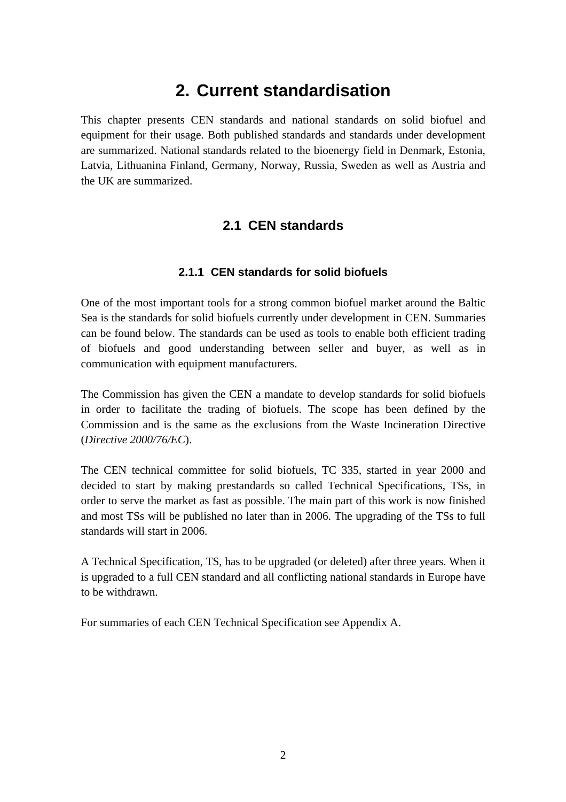# **2. Current standardisation**

This chapter presents CEN standards and national standards on solid biofuel and equipment for their usage. Both published standards and standards under development are summarized. National standards related to the bioenergy field in Denmark, Estonia, Latvia, Lithuanina Finland, Germany, Norway, Russia, Sweden as well as Austria and the UK are summarized.

## **2.1 CEN standards**

#### **2.1.1 CEN standards for solid biofuels**

One of the most important tools for a strong common biofuel market around the Baltic Sea is the standards for solid biofuels currently under development in CEN. Summaries can be found below. The standards can be used as tools to enable both efficient trading of biofuels and good understanding between seller and buyer, as well as in communication with equipment manufacturers.

The Commission has given the CEN a mandate to develop standards for solid biofuels in order to facilitate the trading of biofuels. The scope has been defined by the Commission and is the same as the exclusions from the Waste Incineration Directive (*Directive 2000/76/EC*).

The CEN technical committee for solid biofuels, TC 335, started in year 2000 and decided to start by making prestandards so called Technical Specifications, TSs, in order to serve the market as fast as possible. The main part of this work is now finished and most TSs will be published no later than in 2006. The upgrading of the TSs to full standards will start in 2006.

A Technical Specification, TS, has to be upgraded (or deleted) after three years. When it is upgraded to a full CEN standard and all conflicting national standards in Europe have to be withdrawn.

For summaries of each CEN Technical Specification see Appendix A.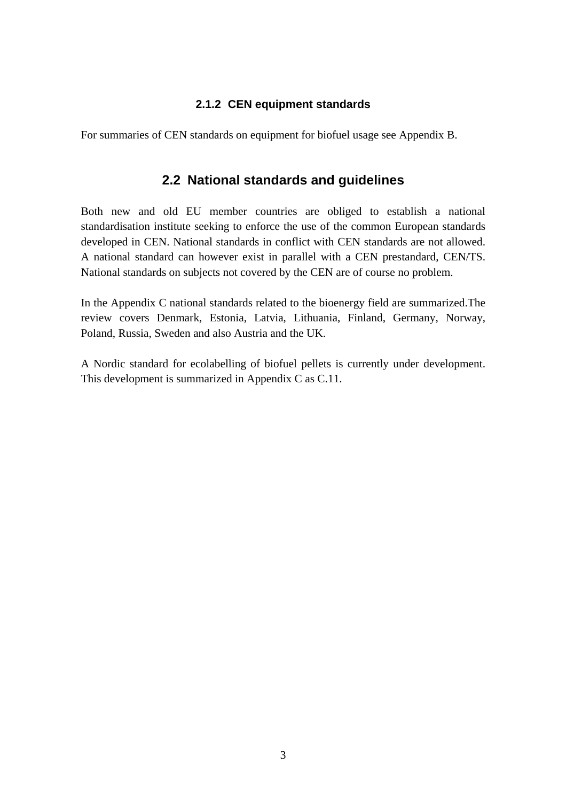#### **2.1.2 CEN equipment standards**

For summaries of CEN standards on equipment for biofuel usage see Appendix B.

## **2.2 National standards and guidelines**

Both new and old EU member countries are obliged to establish a national standardisation institute seeking to enforce the use of the common European standards developed in CEN. National standards in conflict with CEN standards are not allowed. A national standard can however exist in parallel with a CEN prestandard, CEN/TS. National standards on subjects not covered by the CEN are of course no problem.

In the Appendix C national standards related to the bioenergy field are summarized.The review covers Denmark, Estonia, Latvia, Lithuania, Finland, Germany, Norway, Poland, Russia, Sweden and also Austria and the UK.

A Nordic standard for ecolabelling of biofuel pellets is currently under development. This development is summarized in Appendix C as C.11.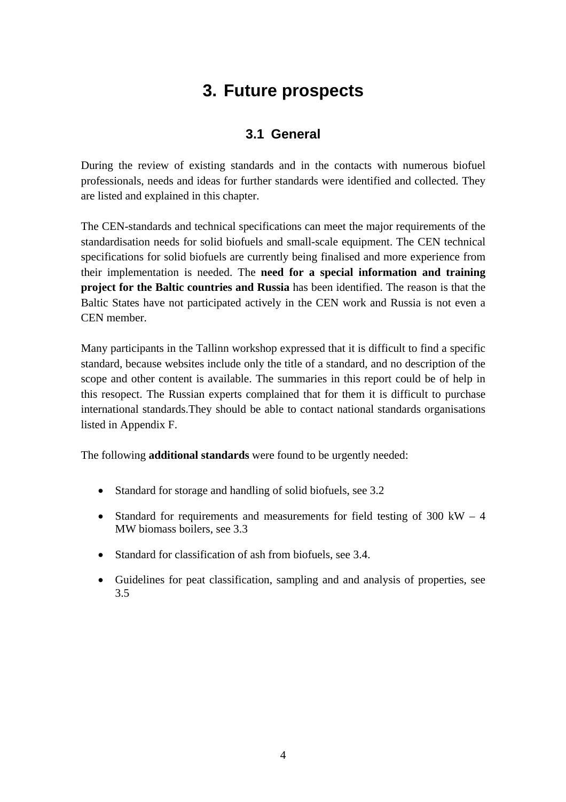# **3. Future prospects**

## **3.1 General**

During the review of existing standards and in the contacts with numerous biofuel professionals, needs and ideas for further standards were identified and collected. They are listed and explained in this chapter.

The CEN-standards and technical specifications can meet the major requirements of the standardisation needs for solid biofuels and small-scale equipment. The CEN technical specifications for solid biofuels are currently being finalised and more experience from their implementation is needed. The **need for a special information and training project for the Baltic countries and Russia** has been identified. The reason is that the Baltic States have not participated actively in the CEN work and Russia is not even a CEN member.

Many participants in the Tallinn workshop expressed that it is difficult to find a specific standard, because websites include only the title of a standard, and no description of the scope and other content is available. The summaries in this report could be of help in this resopect. The Russian experts complained that for them it is difficult to purchase international standards.They should be able to contact national standards organisations listed in Appendix F.

The following **additional standards** were found to be urgently needed:

- Standard for storage and handling of solid biofuels, see 3.2
- Standard for requirements and measurements for field testing of  $300 \text{ kW} 4$ MW biomass boilers, see 3.3
- Standard for classification of ash from biofuels, see 3.4.
- Guidelines for peat classification, sampling and and analysis of properties, see 3.5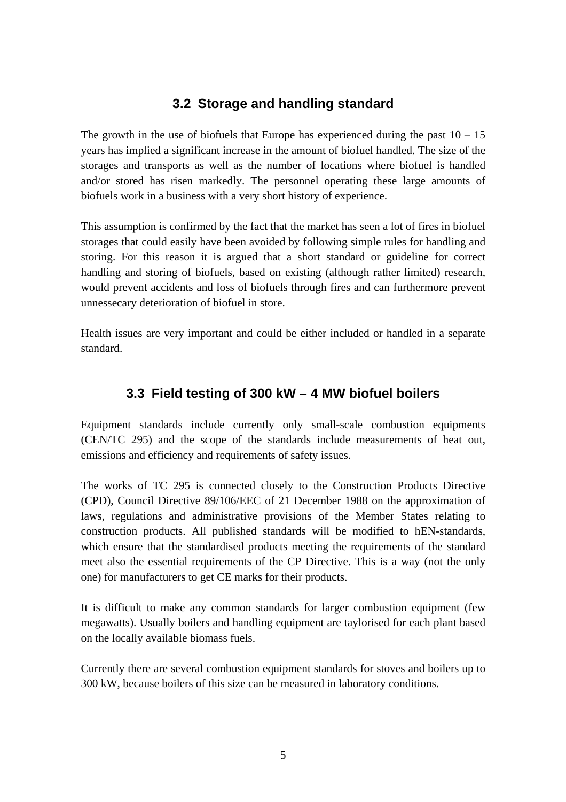## **3.2 Storage and handling standard**

The growth in the use of biofuels that Europe has experienced during the past  $10 - 15$ years has implied a significant increase in the amount of biofuel handled. The size of the storages and transports as well as the number of locations where biofuel is handled and/or stored has risen markedly. The personnel operating these large amounts of biofuels work in a business with a very short history of experience.

This assumption is confirmed by the fact that the market has seen a lot of fires in biofuel storages that could easily have been avoided by following simple rules for handling and storing. For this reason it is argued that a short standard or guideline for correct handling and storing of biofuels, based on existing (although rather limited) research, would prevent accidents and loss of biofuels through fires and can furthermore prevent unnessecary deterioration of biofuel in store.

Health issues are very important and could be either included or handled in a separate standard.

## **3.3 Field testing of 300 kW – 4 MW biofuel boilers**

Equipment standards include currently only small-scale combustion equipments (CEN/TC 295) and the scope of the standards include measurements of heat out, emissions and efficiency and requirements of safety issues.

The works of TC 295 is connected closely to the Construction Products Directive (CPD), Council Directive 89/106/EEC of 21 December 1988 on the approximation of laws, regulations and administrative provisions of the Member States relating to construction products. All published standards will be modified to hEN-standards, which ensure that the standardised products meeting the requirements of the standard meet also the essential requirements of the CP Directive. This is a way (not the only one) for manufacturers to get CE marks for their products.

It is difficult to make any common standards for larger combustion equipment (few megawatts). Usually boilers and handling equipment are taylorised for each plant based on the locally available biomass fuels.

Currently there are several combustion equipment standards for stoves and boilers up to 300 kW, because boilers of this size can be measured in laboratory conditions.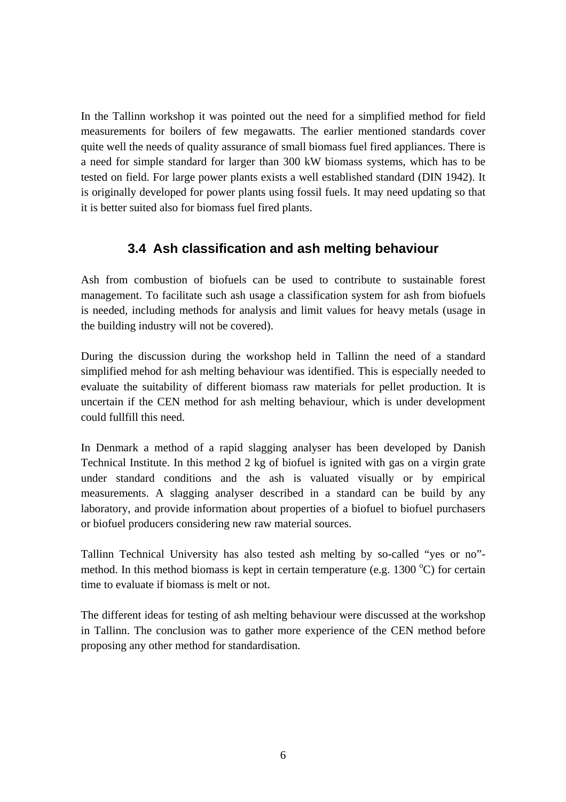In the Tallinn workshop it was pointed out the need for a simplified method for field measurements for boilers of few megawatts. The earlier mentioned standards cover quite well the needs of quality assurance of small biomass fuel fired appliances. There is a need for simple standard for larger than 300 kW biomass systems, which has to be tested on field. For large power plants exists a well established standard (DIN 1942). It is originally developed for power plants using fossil fuels. It may need updating so that it is better suited also for biomass fuel fired plants.

## **3.4 Ash classification and ash melting behaviour**

Ash from combustion of biofuels can be used to contribute to sustainable forest management. To facilitate such ash usage a classification system for ash from biofuels is needed, including methods for analysis and limit values for heavy metals (usage in the building industry will not be covered).

During the discussion during the workshop held in Tallinn the need of a standard simplified mehod for ash melting behaviour was identified. This is especially needed to evaluate the suitability of different biomass raw materials for pellet production. It is uncertain if the CEN method for ash melting behaviour, which is under development could fullfill this need.

In Denmark a method of a rapid slagging analyser has been developed by Danish Technical Institute. In this method 2 kg of biofuel is ignited with gas on a virgin grate under standard conditions and the ash is valuated visually or by empirical measurements. A slagging analyser described in a standard can be build by any laboratory, and provide information about properties of a biofuel to biofuel purchasers or biofuel producers considering new raw material sources.

Tallinn Technical University has also tested ash melting by so-called "yes or no" method. In this method biomass is kept in certain temperature (e.g.  $1300\text{ °C}$ ) for certain time to evaluate if biomass is melt or not.

The different ideas for testing of ash melting behaviour were discussed at the workshop in Tallinn. The conclusion was to gather more experience of the CEN method before proposing any other method for standardisation.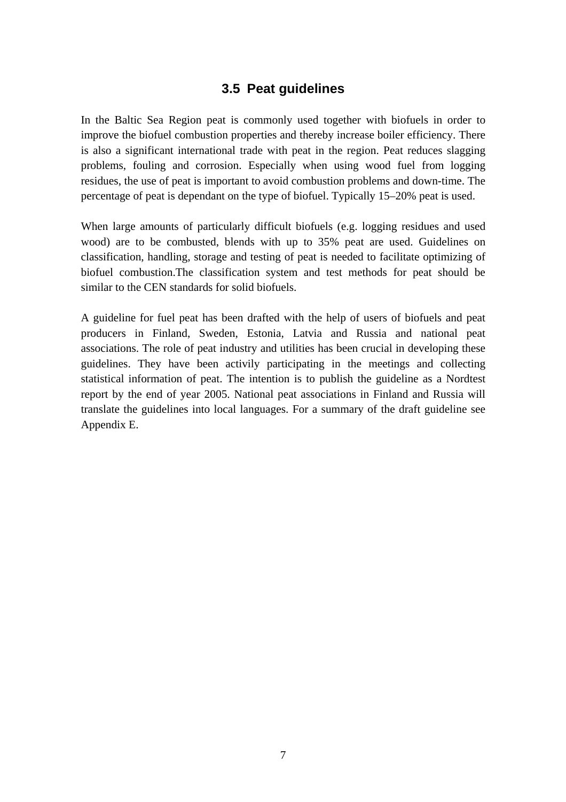## **3.5 Peat guidelines**

In the Baltic Sea Region peat is commonly used together with biofuels in order to improve the biofuel combustion properties and thereby increase boiler efficiency. There is also a significant international trade with peat in the region. Peat reduces slagging problems, fouling and corrosion. Especially when using wood fuel from logging residues, the use of peat is important to avoid combustion problems and down-time. The percentage of peat is dependant on the type of biofuel. Typically 15–20% peat is used.

When large amounts of particularly difficult biofuels (e.g. logging residues and used wood) are to be combusted, blends with up to 35% peat are used. Guidelines on classification, handling, storage and testing of peat is needed to facilitate optimizing of biofuel combustion.The classification system and test methods for peat should be similar to the CEN standards for solid biofuels.

A guideline for fuel peat has been drafted with the help of users of biofuels and peat producers in Finland, Sweden, Estonia, Latvia and Russia and national peat associations. The role of peat industry and utilities has been crucial in developing these guidelines. They have been activily participating in the meetings and collecting statistical information of peat. The intention is to publish the guideline as a Nordtest report by the end of year 2005. National peat associations in Finland and Russia will translate the guidelines into local languages. For a summary of the draft guideline see Appendix E.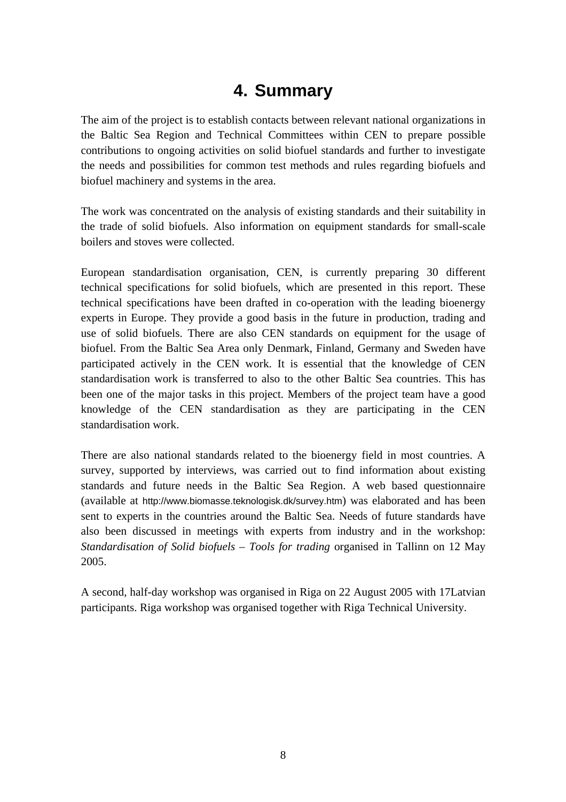# **4. Summary**

The aim of the project is to establish contacts between relevant national organizations in the Baltic Sea Region and Technical Committees within CEN to prepare possible contributions to ongoing activities on solid biofuel standards and further to investigate the needs and possibilities for common test methods and rules regarding biofuels and biofuel machinery and systems in the area.

The work was concentrated on the analysis of existing standards and their suitability in the trade of solid biofuels. Also information on equipment standards for small-scale boilers and stoves were collected.

European standardisation organisation, CEN, is currently preparing 30 different technical specifications for solid biofuels, which are presented in this report. These technical specifications have been drafted in co-operation with the leading bioenergy experts in Europe. They provide a good basis in the future in production, trading and use of solid biofuels. There are also CEN standards on equipment for the usage of biofuel. From the Baltic Sea Area only Denmark, Finland, Germany and Sweden have participated actively in the CEN work. It is essential that the knowledge of CEN standardisation work is transferred to also to the other Baltic Sea countries. This has been one of the major tasks in this project. Members of the project team have a good knowledge of the CEN standardisation as they are participating in the CEN standardisation work.

There are also national standards related to the bioenergy field in most countries. A survey, supported by interviews, was carried out to find information about existing standards and future needs in the Baltic Sea Region. A web based questionnaire (available at http://www.biomasse.teknologisk.dk/survey.htm) was elaborated and has been sent to experts in the countries around the Baltic Sea. Needs of future standards have also been discussed in meetings with experts from industry and in the workshop: *Standardisation of Solid biofuels – Tools for trading* organised in Tallinn on 12 May 2005.

A second, half-day workshop was organised in Riga on 22 August 2005 with 17Latvian participants. Riga workshop was organised together with Riga Technical University.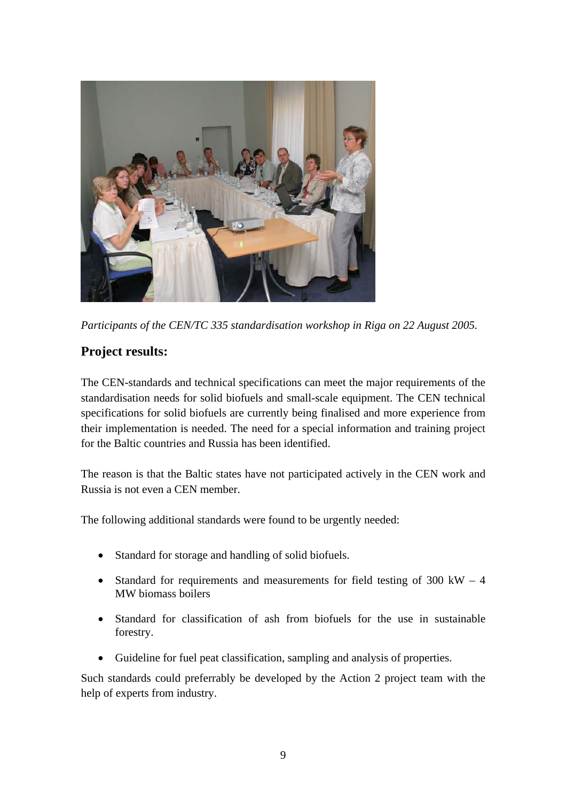

*Participants of the CEN/TC 335 standardisation workshop in Riga on 22 August 2005.* 

## **Project results:**

The CEN-standards and technical specifications can meet the major requirements of the standardisation needs for solid biofuels and small-scale equipment. The CEN technical specifications for solid biofuels are currently being finalised and more experience from their implementation is needed. The need for a special information and training project for the Baltic countries and Russia has been identified.

The reason is that the Baltic states have not participated actively in the CEN work and Russia is not even a CEN member.

The following additional standards were found to be urgently needed:

- Standard for storage and handling of solid biofuels.
- Standard for requirements and measurements for field testing of  $300 \text{ kW} 4$ MW biomass boilers
- Standard for classification of ash from biofuels for the use in sustainable forestry.
- Guideline for fuel peat classification, sampling and analysis of properties.

Such standards could preferrably be developed by the Action 2 project team with the help of experts from industry.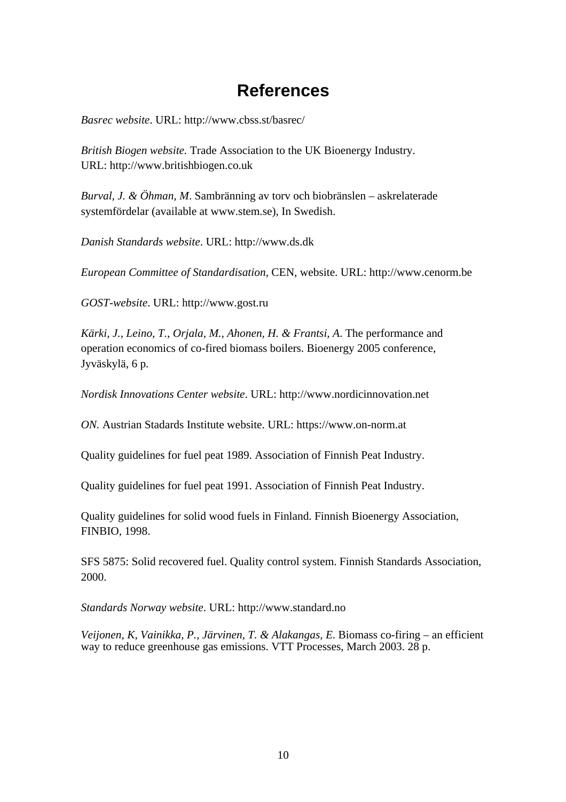## **References**

*Basrec website*. URL: http://www.cbss.st/basrec/

*British Biogen website.* Trade Association to the UK Bioenergy Industry. URL: http://www.britishbiogen.co.uk

*Burval, J. & Öhman, M*. Sambränning av torv och biobränslen – askrelaterade systemfördelar (available at www.stem.se), In Swedish.

*Danish Standards website*. URL: http://www.ds.dk

*European Committee of Standardisation*, CEN, website. URL: http://www.cenorm.be

*GOST-website*. URL: http://www.gost.ru

*Kärki, J., Leino, T., Orjala, M., Ahonen, H. & Frantsi, A*. The performance and operation economics of co-fired biomass boilers. Bioenergy 2005 conference, Jyväskylä, 6 p.

*Nordisk Innovations Center website*. URL: http://www.nordicinnovation.net

*ON.* Austrian Stadards Institute website. URL: https://www.on-norm.at

Quality guidelines for fuel peat 1989. Association of Finnish Peat Industry.

Quality guidelines for fuel peat 1991. Association of Finnish Peat Industry.

Quality guidelines for solid wood fuels in Finland. Finnish Bioenergy Association, FINBIO, 1998.

SFS 5875: Solid recovered fuel. Quality control system. Finnish Standards Association, 2000.

*Standards Norway website*. URL: http://www.standard.no

*Veijonen, K, Vainikka, P., Järvinen, T. & Alakangas, E*. Biomass co-firing – an efficient way to reduce greenhouse gas emissions. VTT Processes, March 2003. 28 p.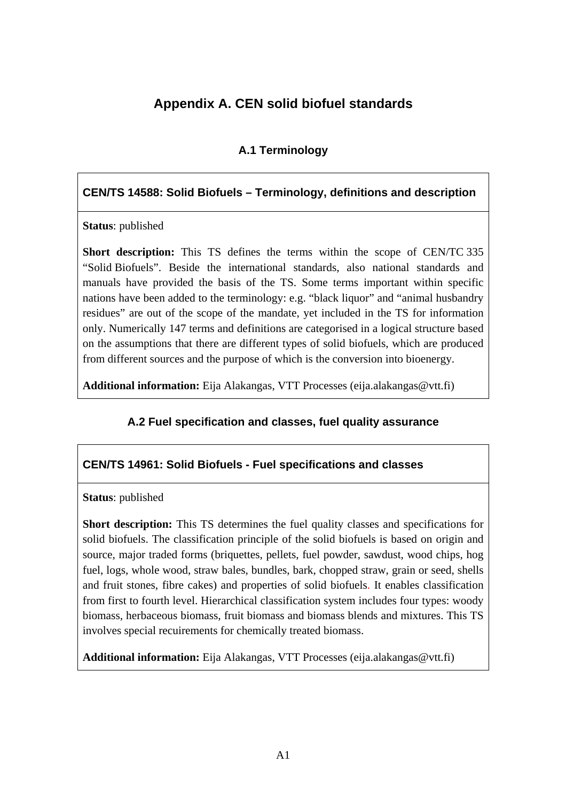## **Appendix A. CEN solid biofuel standards**

## **A.1 Terminology**

#### **CEN/TS 14588: Solid Biofuels – Terminology, definitions and description**

**Status**: published

**Short description:** This TS defines the terms within the scope of CEN/TC 335 "Solid Biofuels". Beside the international standards, also national standards and manuals have provided the basis of the TS. Some terms important within specific nations have been added to the terminology: e.g. "black liquor" and "animal husbandry residues" are out of the scope of the mandate, yet included in the TS for information only. Numerically 147 terms and definitions are categorised in a logical structure based on the assumptions that there are different types of solid biofuels, which are produced from different sources and the purpose of which is the conversion into bioenergy.

**Additional information:** Eija Alakangas, VTT Processes (eija.alakangas@vtt.fi)

#### **A.2 Fuel specification and classes, fuel quality assurance**

#### **CEN/TS 14961: Solid Biofuels - Fuel specifications and classes**

**Status**: published

**Short description:** This TS determines the fuel quality classes and specifications for solid biofuels. The classification principle of the solid biofuels is based on origin and source, major traded forms (briquettes, pellets, fuel powder, sawdust, wood chips, hog fuel, logs, whole wood, straw bales, bundles, bark, chopped straw, grain or seed, shells and fruit stones, fibre cakes) and properties of solid biofuels. It enables classification from first to fourth level. Hierarchical classification system includes four types: woody biomass, herbaceous biomass, fruit biomass and biomass blends and mixtures. This TS involves special recuirements for chemically treated biomass.

**Additional information:** Eija Alakangas, VTT Processes (eija.alakangas@vtt.fi)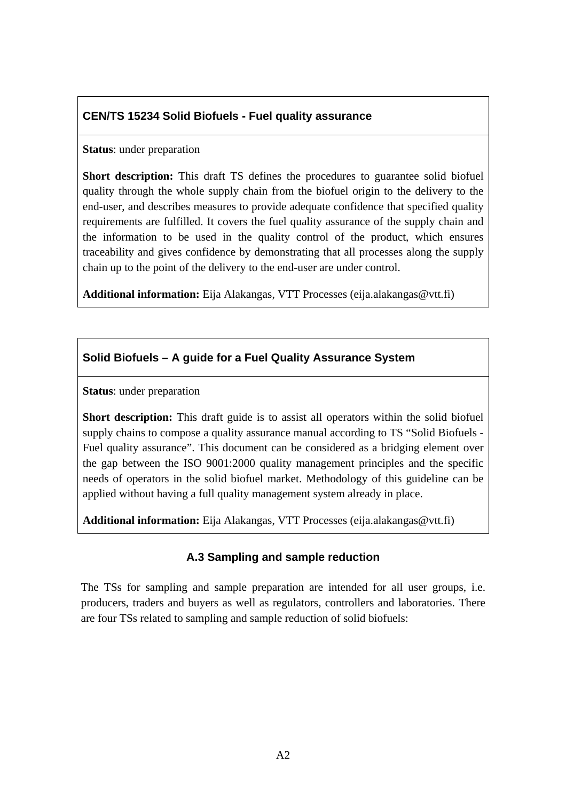## **CEN/TS 15234 Solid Biofuels - Fuel quality assurance**

#### **Status**: under preparation

**Short description:** This draft TS defines the procedures to guarantee solid biofuel quality through the whole supply chain from the biofuel origin to the delivery to the end-user, and describes measures to provide adequate confidence that specified quality requirements are fulfilled. It covers the fuel quality assurance of the supply chain and the information to be used in the quality control of the product, which ensures traceability and gives confidence by demonstrating that all processes along the supply chain up to the point of the delivery to the end-user are under control.

**Additional information:** Eija Alakangas, VTT Processes (eija.alakangas@vtt.fi)

#### **Solid Biofuels – A guide for a Fuel Quality Assurance System**

**Status**: under preparation

**Short description:** This draft guide is to assist all operators within the solid biofuel supply chains to compose a quality assurance manual according to TS "Solid Biofuels - Fuel quality assurance". This document can be considered as a bridging element over the gap between the ISO 9001:2000 quality management principles and the specific needs of operators in the solid biofuel market. Methodology of this guideline can be applied without having a full quality management system already in place.

**Additional information:** Eija Alakangas, VTT Processes (eija.alakangas@vtt.fi)

#### **A.3 Sampling and sample reduction**

The TSs for sampling and sample preparation are intended for all user groups, i.e. producers, traders and buyers as well as regulators, controllers and laboratories. There are four TSs related to sampling and sample reduction of solid biofuels: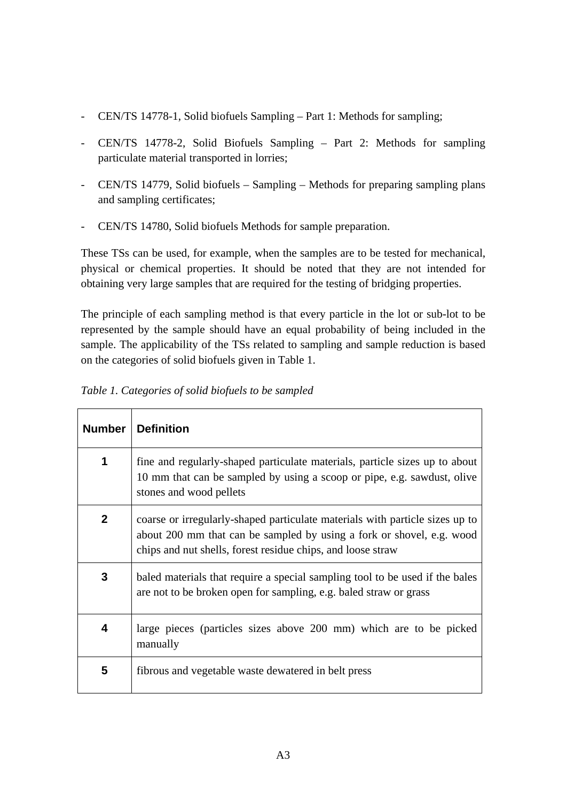- CEN/TS 14778-1, Solid biofuels Sampling Part 1: Methods for sampling;
- CEN/TS 14778-2, Solid Biofuels Sampling Part 2: Methods for sampling particulate material transported in lorries;
- CEN/TS 14779, Solid biofuels Sampling Methods for preparing sampling plans and sampling certificates;
- CEN/TS 14780, Solid biofuels Methods for sample preparation.

These TSs can be used, for example, when the samples are to be tested for mechanical, physical or chemical properties. It should be noted that they are not intended for obtaining very large samples that are required for the testing of bridging properties.

The principle of each sampling method is that every particle in the lot or sub-lot to be represented by the sample should have an equal probability of being included in the sample. The applicability of the TSs related to sampling and sample reduction is based on the categories of solid biofuels given in Table 1.

| <b>Number</b> | <b>Definition</b>                                                                                                                                                                                                    |
|---------------|----------------------------------------------------------------------------------------------------------------------------------------------------------------------------------------------------------------------|
| 1             | fine and regularly-shaped particulate materials, particle sizes up to about<br>10 mm that can be sampled by using a scoop or pipe, e.g. sawdust, olive<br>stones and wood pellets                                    |
| $\mathbf{2}$  | coarse or irregularly-shaped particulate materials with particle sizes up to<br>about 200 mm that can be sampled by using a fork or shovel, e.g. wood<br>chips and nut shells, forest residue chips, and loose straw |
| 3             | baled materials that require a special sampling tool to be used if the bales<br>are not to be broken open for sampling, e.g. baled straw or grass                                                                    |
| 4             | large pieces (particles sizes above 200 mm) which are to be picked<br>manually                                                                                                                                       |
| 5             | fibrous and vegetable waste dewatered in belt press                                                                                                                                                                  |

*Table 1. Categories of solid biofuels to be sampled*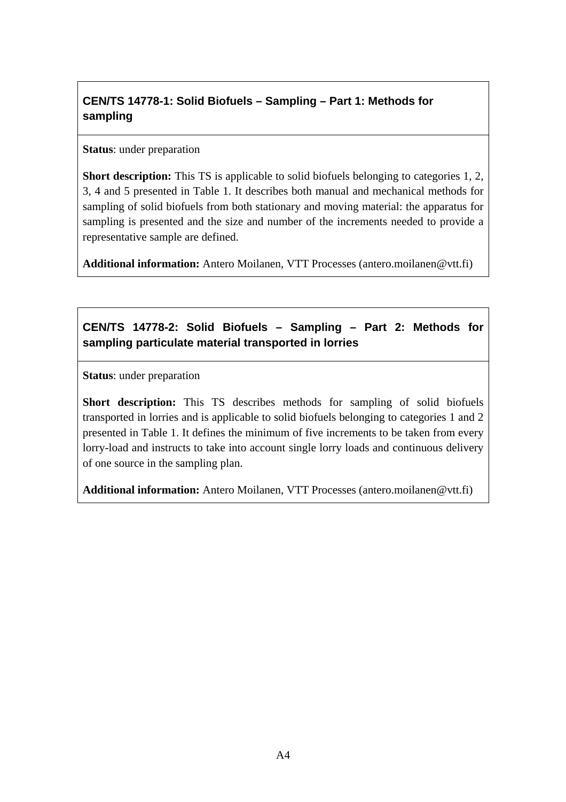## **CEN/TS 14778-1: Solid Biofuels – Sampling – Part 1: Methods for sampling**

#### **Status**: under preparation

**Short description:** This TS is applicable to solid biofuels belonging to categories 1, 2, 3, 4 and 5 presented in Table 1. It describes both manual and mechanical methods for sampling of solid biofuels from both stationary and moving material: the apparatus for sampling is presented and the size and number of the increments needed to provide a representative sample are defined.

**Additional information:** Antero Moilanen, VTT Processes (antero.moilanen@vtt.fi)

## **CEN/TS 14778-2: Solid Biofuels – Sampling – Part 2: Methods for sampling particulate material transported in lorries**

**Status**: under preparation

**Short description:** This TS describes methods for sampling of solid biofuels transported in lorries and is applicable to solid biofuels belonging to categories 1 and 2 presented in Table 1. It defines the minimum of five increments to be taken from every lorry-load and instructs to take into account single lorry loads and continuous delivery of one source in the sampling plan.

**Additional information:** Antero Moilanen, VTT Processes (antero.moilanen@vtt.fi)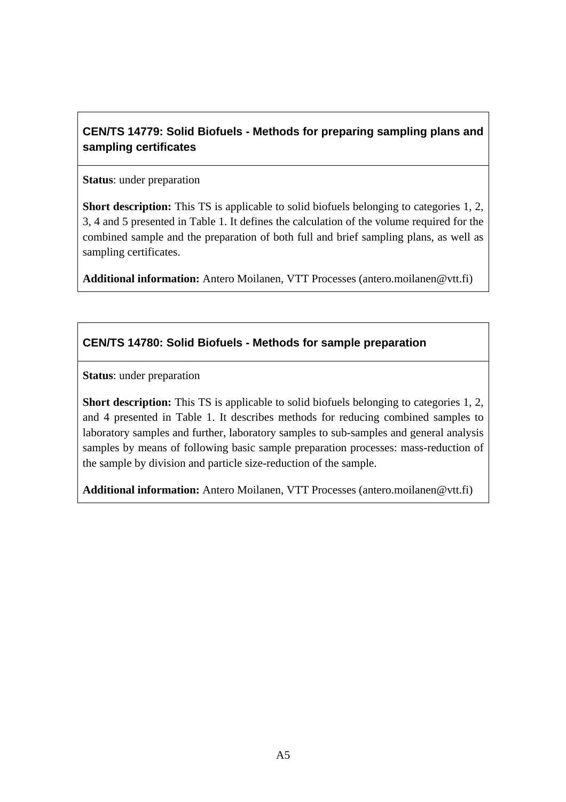## **CEN/TS 14779: Solid Biofuels - Methods for preparing sampling plans and sampling certificates**

#### **Status**: under preparation

**Short description:** This TS is applicable to solid biofuels belonging to categories 1, 2, 3, 4 and 5 presented in Table 1. It defines the calculation of the volume required for the combined sample and the preparation of both full and brief sampling plans, as well as sampling certificates.

**Additional information:** Antero Moilanen, VTT Processes (antero.moilanen@vtt.fi)

## **CEN/TS 14780: Solid Biofuels - Methods for sample preparation**

**Status**: under preparation

**Short description:** This TS is applicable to solid biofuels belonging to categories 1, 2, and 4 presented in Table 1. It describes methods for reducing combined samples to laboratory samples and further, laboratory samples to sub-samples and general analysis samples by means of following basic sample preparation processes: mass-reduction of the sample by division and particle size-reduction of the sample.

**Additional information:** Antero Moilanen, VTT Processes (antero.moilanen@vtt.fi)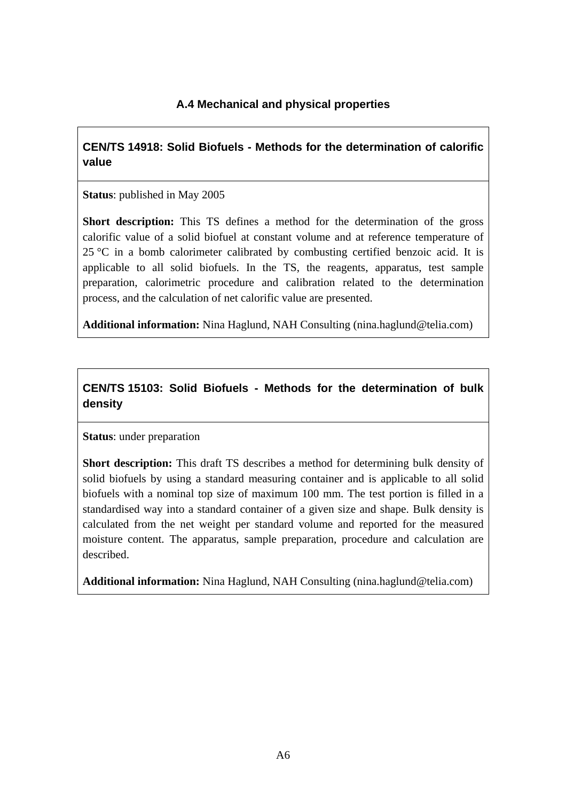#### **A.4 Mechanical and physical properties**

## **CEN/TS 14918: Solid Biofuels - Methods for the determination of calorific value**

**Status**: published in May 2005

**Short description:** This TS defines a method for the determination of the gross calorific value of a solid biofuel at constant volume and at reference temperature of  $25 \text{ °C}$  in a bomb calorimeter calibrated by combusting certified benzoic acid. It is applicable to all solid biofuels. In the TS, the reagents, apparatus, test sample preparation, calorimetric procedure and calibration related to the determination process, and the calculation of net calorific value are presented.

**Additional information:** Nina Haglund, NAH Consulting (nina.haglund@telia.com)

## **CEN/TS 15103: Solid Biofuels - Methods for the determination of bulk density**

#### **Status**: under preparation

**Short description:** This draft TS describes a method for determining bulk density of solid biofuels by using a standard measuring container and is applicable to all solid biofuels with a nominal top size of maximum 100 mm. The test portion is filled in a standardised way into a standard container of a given size and shape. Bulk density is calculated from the net weight per standard volume and reported for the measured moisture content. The apparatus, sample preparation, procedure and calculation are described.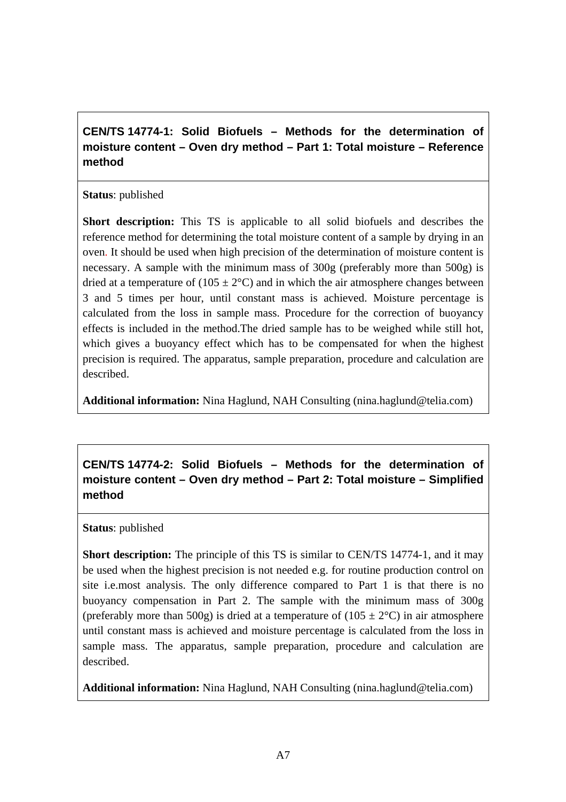**CEN/TS 14774-1: Solid Biofuels – Methods for the determination of moisture content – Oven dry method – Part 1: Total moisture – Reference method** 

#### **Status**: published

**Short description:** This TS is applicable to all solid biofuels and describes the reference method for determining the total moisture content of a sample by drying in an oven. It should be used when high precision of the determination of moisture content is necessary. A sample with the minimum mass of 300g (preferably more than 500g) is dried at a temperature of  $(105 \pm 2^{\circ}C)$  and in which the air atmosphere changes between 3 and 5 times per hour, until constant mass is achieved. Moisture percentage is calculated from the loss in sample mass. Procedure for the correction of buoyancy effects is included in the method.The dried sample has to be weighed while still hot, which gives a buoyancy effect which has to be compensated for when the highest precision is required. The apparatus, sample preparation, procedure and calculation are described.

**Additional information:** Nina Haglund, NAH Consulting (nina.haglund@telia.com)

**CEN/TS 14774-2: Solid Biofuels – Methods for the determination of moisture content – Oven dry method – Part 2: Total moisture – Simplified method** 

#### **Status**: published

**Short description:** The principle of this TS is similar to CEN/TS 14774-1, and it may be used when the highest precision is not needed e.g. for routine production control on site i.e.most analysis. The only difference compared to Part 1 is that there is no buoyancy compensation in Part 2. The sample with the minimum mass of 300g (preferably more than 500g) is dried at a temperature of  $(105 \pm 2^{\circ}$ C) in air atmosphere until constant mass is achieved and moisture percentage is calculated from the loss in sample mass. The apparatus, sample preparation, procedure and calculation are described.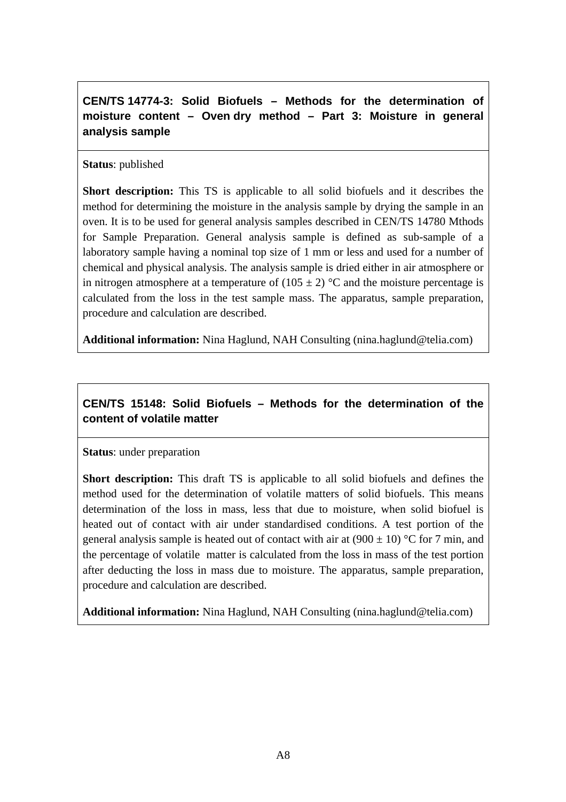**CEN/TS 14774-3: Solid Biofuels – Methods for the determination of moisture content – Oven dry method – Part 3: Moisture in general analysis sample** 

**Status**: published

**Short description:** This TS is applicable to all solid biofuels and it describes the method for determining the moisture in the analysis sample by drying the sample in an oven. It is to be used for general analysis samples described in CEN/TS 14780 Mthods for Sample Preparation. General analysis sample is defined as sub-sample of a laboratory sample having a nominal top size of 1 mm or less and used for a number of chemical and physical analysis. The analysis sample is dried either in air atmosphere or in nitrogen atmosphere at a temperature of  $(105 \pm 2)$  °C and the moisture percentage is calculated from the loss in the test sample mass. The apparatus, sample preparation, procedure and calculation are described.

**Additional information:** Nina Haglund, NAH Consulting (nina.haglund@telia.com)

## **CEN/TS 15148: Solid Biofuels – Methods for the determination of the content of volatile matter**

**Status**: under preparation

**Short description:** This draft TS is applicable to all solid biofuels and defines the method used for the determination of volatile matters of solid biofuels. This means determination of the loss in mass, less that due to moisture, when solid biofuel is heated out of contact with air under standardised conditions. A test portion of the general analysis sample is heated out of contact with air at  $(900 \pm 10)$  °C for 7 min, and the percentage of volatile matter is calculated from the loss in mass of the test portion after deducting the loss in mass due to moisture. The apparatus, sample preparation, procedure and calculation are described.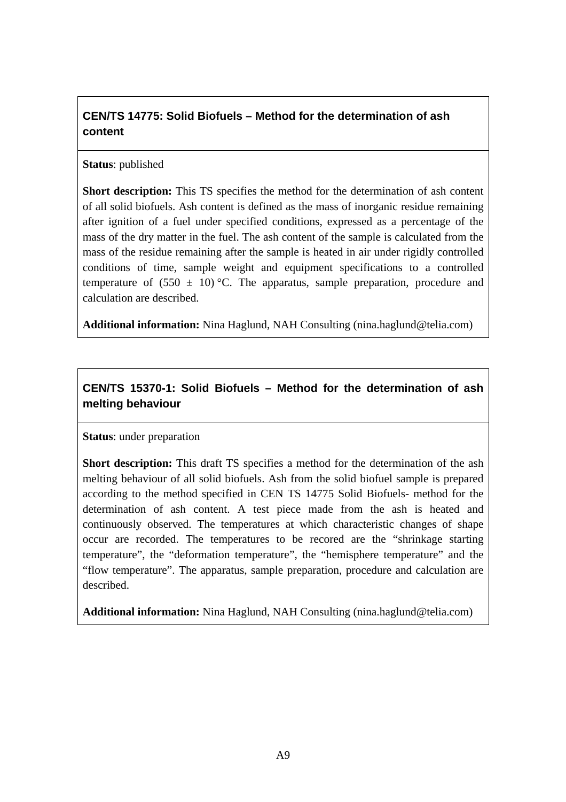## **CEN/TS 14775: Solid Biofuels – Method for the determination of ash content**

#### **Status**: published

**Short description:** This TS specifies the method for the determination of ash content of all solid biofuels. Ash content is defined as the mass of inorganic residue remaining after ignition of a fuel under specified conditions, expressed as a percentage of the mass of the dry matter in the fuel. The ash content of the sample is calculated from the mass of the residue remaining after the sample is heated in air under rigidly controlled conditions of time, sample weight and equipment specifications to a controlled temperature of  $(550 \pm 10)$  °C. The apparatus, sample preparation, procedure and calculation are described.

**Additional information:** Nina Haglund, NAH Consulting (nina.haglund@telia.com)

## **CEN/TS 15370-1: Solid Biofuels – Method for the determination of ash melting behaviour**

#### **Status**: under preparation

**Short description:** This draft TS specifies a method for the determination of the ash melting behaviour of all solid biofuels. Ash from the solid biofuel sample is prepared according to the method specified in CEN TS 14775 Solid Biofuels- method for the determination of ash content. A test piece made from the ash is heated and continuously observed. The temperatures at which characteristic changes of shape occur are recorded. The temperatures to be recored are the "shrinkage starting temperature", the "deformation temperature", the "hemisphere temperature" and the "flow temperature". The apparatus, sample preparation, procedure and calculation are described.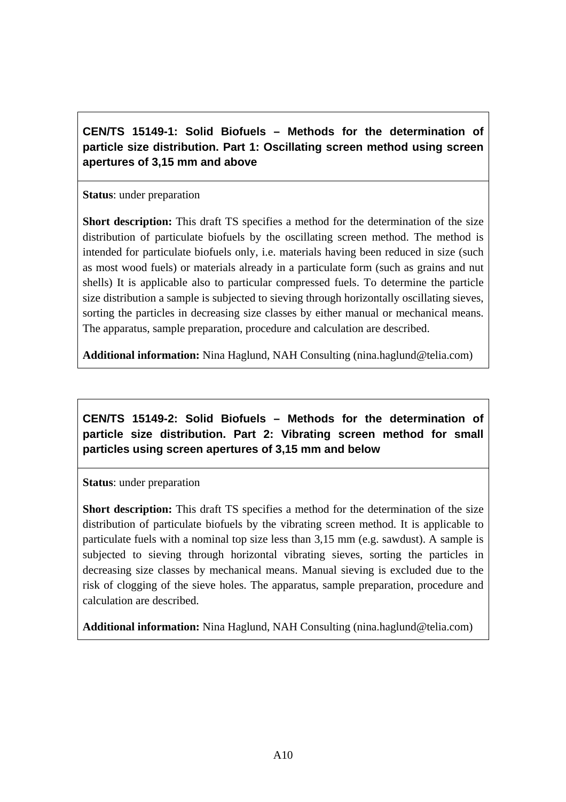**CEN/TS 15149-1: Solid Biofuels – Methods for the determination of particle size distribution. Part 1: Oscillating screen method using screen apertures of 3,15 mm and above** 

**Status**: under preparation

**Short description:** This draft TS specifies a method for the determination of the size distribution of particulate biofuels by the oscillating screen method. The method is intended for particulate biofuels only, i.e. materials having been reduced in size (such as most wood fuels) or materials already in a particulate form (such as grains and nut shells) It is applicable also to particular compressed fuels. To determine the particle size distribution a sample is subjected to sieving through horizontally oscillating sieves, sorting the particles in decreasing size classes by either manual or mechanical means. The apparatus, sample preparation, procedure and calculation are described.

**Additional information:** Nina Haglund, NAH Consulting (nina.haglund@telia.com)

**CEN/TS 15149-2: Solid Biofuels – Methods for the determination of particle size distribution. Part 2: Vibrating screen method for small particles using screen apertures of 3,15 mm and below** 

**Status**: under preparation

**Short description:** This draft TS specifies a method for the determination of the size distribution of particulate biofuels by the vibrating screen method. It is applicable to particulate fuels with a nominal top size less than 3,15 mm (e.g. sawdust). A sample is subjected to sieving through horizontal vibrating sieves, sorting the particles in decreasing size classes by mechanical means. Manual sieving is excluded due to the risk of clogging of the sieve holes. The apparatus, sample preparation, procedure and calculation are described.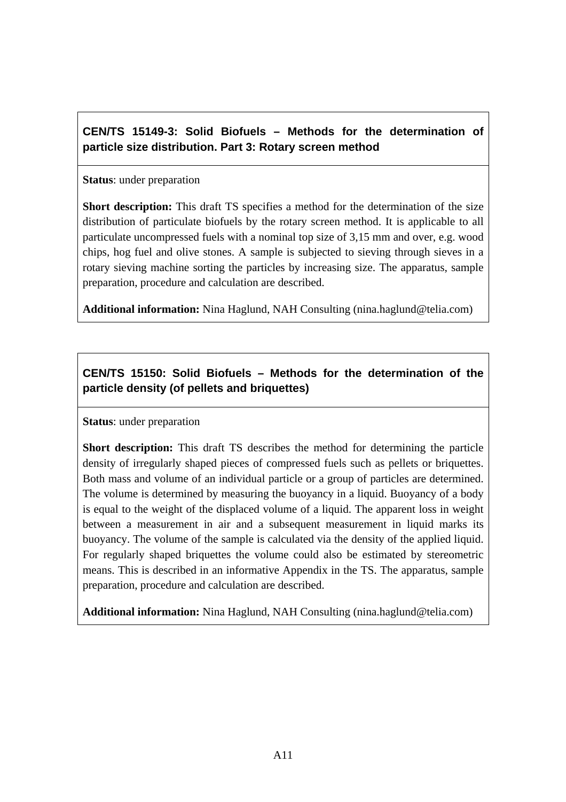## **CEN/TS 15149-3: Solid Biofuels – Methods for the determination of particle size distribution. Part 3: Rotary screen method**

#### **Status**: under preparation

**Short description:** This draft TS specifies a method for the determination of the size distribution of particulate biofuels by the rotary screen method. It is applicable to all particulate uncompressed fuels with a nominal top size of 3,15 mm and over, e.g. wood chips, hog fuel and olive stones. A sample is subjected to sieving through sieves in a rotary sieving machine sorting the particles by increasing size. The apparatus, sample preparation, procedure and calculation are described.

**Additional information:** Nina Haglund, NAH Consulting (nina.haglund@telia.com)

## **CEN/TS 15150: Solid Biofuels – Methods for the determination of the particle density (of pellets and briquettes)**

#### **Status**: under preparation

**Short description:** This draft TS describes the method for determining the particle density of irregularly shaped pieces of compressed fuels such as pellets or briquettes. Both mass and volume of an individual particle or a group of particles are determined. The volume is determined by measuring the buoyancy in a liquid. Buoyancy of a body is equal to the weight of the displaced volume of a liquid. The apparent loss in weight between a measurement in air and a subsequent measurement in liquid marks its buoyancy. The volume of the sample is calculated via the density of the applied liquid. For regularly shaped briquettes the volume could also be estimated by stereometric means. This is described in an informative Appendix in the TS. The apparatus, sample preparation, procedure and calculation are described.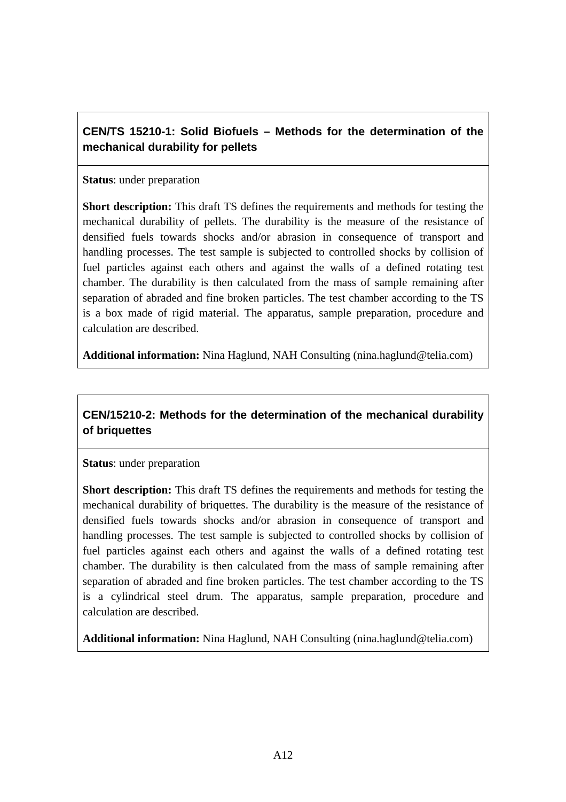## **CEN/TS 15210-1: Solid Biofuels – Methods for the determination of the mechanical durability for pellets**

#### **Status**: under preparation

**Short description:** This draft TS defines the requirements and methods for testing the mechanical durability of pellets. The durability is the measure of the resistance of densified fuels towards shocks and/or abrasion in consequence of transport and handling processes. The test sample is subjected to controlled shocks by collision of fuel particles against each others and against the walls of a defined rotating test chamber. The durability is then calculated from the mass of sample remaining after separation of abraded and fine broken particles. The test chamber according to the TS is a box made of rigid material. The apparatus, sample preparation, procedure and calculation are described.

**Additional information:** Nina Haglund, NAH Consulting (nina.haglund@telia.com)

## **CEN/15210-2: Methods for the determination of the mechanical durability of briquettes**

**Status**: under preparation

**Short description:** This draft TS defines the requirements and methods for testing the mechanical durability of briquettes. The durability is the measure of the resistance of densified fuels towards shocks and/or abrasion in consequence of transport and handling processes. The test sample is subjected to controlled shocks by collision of fuel particles against each others and against the walls of a defined rotating test chamber. The durability is then calculated from the mass of sample remaining after separation of abraded and fine broken particles. The test chamber according to the TS is a cylindrical steel drum. The apparatus, sample preparation, procedure and calculation are described.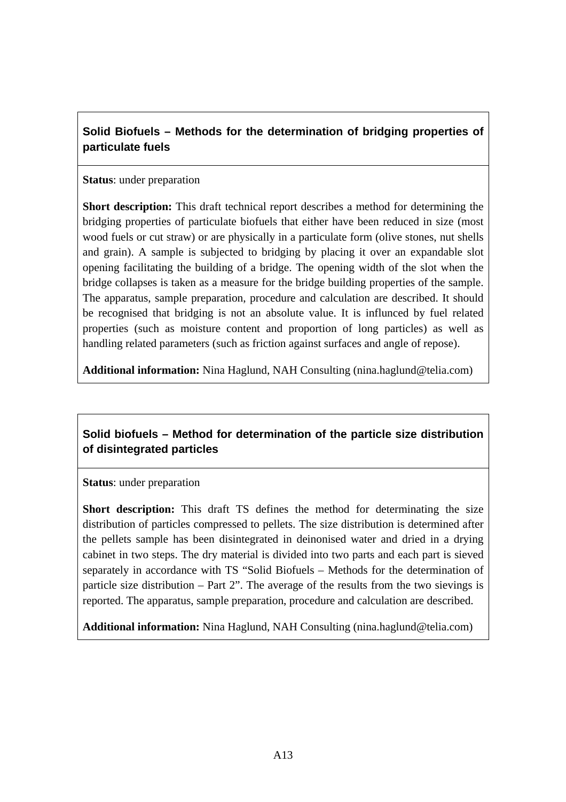**Solid Biofuels – Methods for the determination of bridging properties of particulate fuels** 

#### **Status**: under preparation

**Short description:** This draft technical report describes a method for determining the bridging properties of particulate biofuels that either have been reduced in size (most wood fuels or cut straw) or are physically in a particulate form (olive stones, nut shells and grain). A sample is subjected to bridging by placing it over an expandable slot opening facilitating the building of a bridge. The opening width of the slot when the bridge collapses is taken as a measure for the bridge building properties of the sample. The apparatus, sample preparation, procedure and calculation are described. It should be recognised that bridging is not an absolute value. It is influnced by fuel related properties (such as moisture content and proportion of long particles) as well as handling related parameters (such as friction against surfaces and angle of repose).

**Additional information:** Nina Haglund, NAH Consulting (nina.haglund@telia.com)

## **Solid biofuels – Method for determination of the particle size distribution of disintegrated particles**

**Status**: under preparation

**Short description:** This draft TS defines the method for determinating the size distribution of particles compressed to pellets. The size distribution is determined after the pellets sample has been disintegrated in deinonised water and dried in a drying cabinet in two steps. The dry material is divided into two parts and each part is sieved separately in accordance with TS "Solid Biofuels – Methods for the determination of particle size distribution – Part 2". The average of the results from the two sievings is reported. The apparatus, sample preparation, procedure and calculation are described.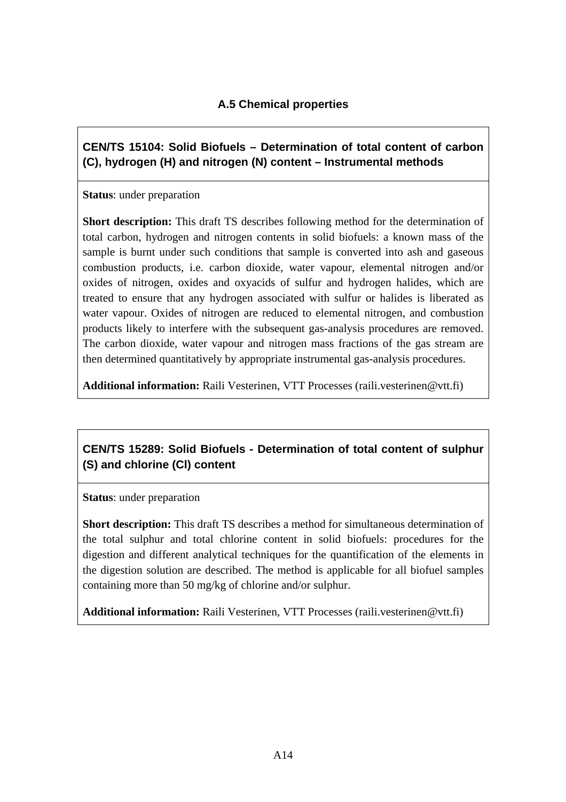## **A.5 Chemical properties**

**CEN/TS 15104: Solid Biofuels – Determination of total content of carbon (C), hydrogen (H) and nitrogen (N) content – Instrumental methods** 

**Status**: under preparation

**Short description:** This draft TS describes following method for the determination of total carbon, hydrogen and nitrogen contents in solid biofuels: a known mass of the sample is burnt under such conditions that sample is converted into ash and gaseous combustion products, i.e. carbon dioxide, water vapour, elemental nitrogen and/or oxides of nitrogen, oxides and oxyacids of sulfur and hydrogen halides, which are treated to ensure that any hydrogen associated with sulfur or halides is liberated as water vapour. Oxides of nitrogen are reduced to elemental nitrogen, and combustion products likely to interfere with the subsequent gas-analysis procedures are removed. The carbon dioxide, water vapour and nitrogen mass fractions of the gas stream are then determined quantitatively by appropriate instrumental gas-analysis procedures.

**Additional information:** Raili Vesterinen, VTT Processes (raili.vesterinen@vtt.fi)

## **CEN/TS 15289: Solid Biofuels - Determination of total content of sulphur (S) and chlorine (Cl) content**

**Status**: under preparation

**Short description:** This draft TS describes a method for simultaneous determination of the total sulphur and total chlorine content in solid biofuels: procedures for the digestion and different analytical techniques for the quantification of the elements in the digestion solution are described. The method is applicable for all biofuel samples containing more than 50 mg/kg of chlorine and/or sulphur.

**Additional information:** Raili Vesterinen, VTT Processes (raili.vesterinen@vtt.fi)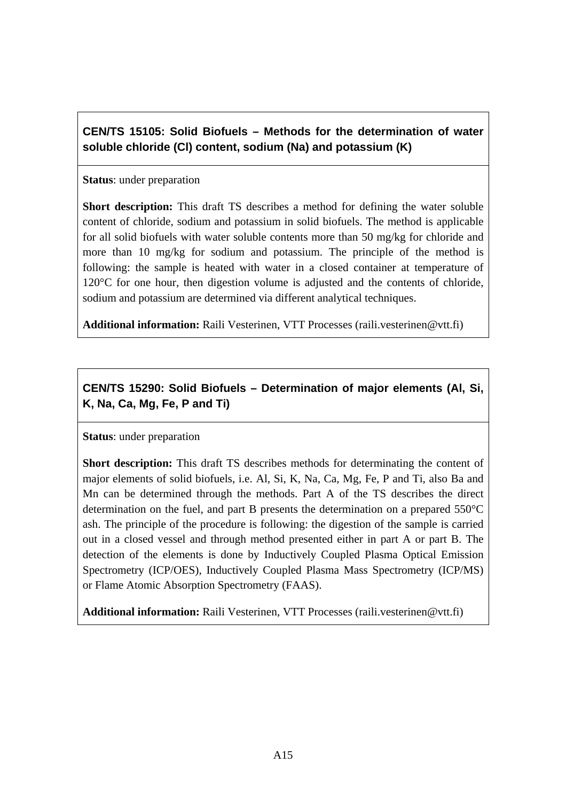**CEN/TS 15105: Solid Biofuels – Methods for the determination of water soluble chloride (Cl) content, sodium (Na) and potassium (K)** 

#### **Status**: under preparation

**Short description:** This draft TS describes a method for defining the water soluble content of chloride, sodium and potassium in solid biofuels. The method is applicable for all solid biofuels with water soluble contents more than 50 mg/kg for chloride and more than 10 mg/kg for sodium and potassium. The principle of the method is following: the sample is heated with water in a closed container at temperature of 120°C for one hour, then digestion volume is adjusted and the contents of chloride, sodium and potassium are determined via different analytical techniques.

**Additional information:** Raili Vesterinen, VTT Processes (raili.vesterinen@vtt.fi)

## **CEN/TS 15290: Solid Biofuels – Determination of major elements (Al, Si, K, Na, Ca, Mg, Fe, P and Ti)**

#### **Status**: under preparation

**Short description:** This draft TS describes methods for determinating the content of major elements of solid biofuels, i.e. Al, Si, K, Na, Ca, Mg, Fe, P and Ti, also Ba and Mn can be determined through the methods. Part A of the TS describes the direct determination on the fuel, and part B presents the determination on a prepared 550°C ash. The principle of the procedure is following: the digestion of the sample is carried out in a closed vessel and through method presented either in part A or part B. The detection of the elements is done by Inductively Coupled Plasma Optical Emission Spectrometry (ICP/OES), Inductively Coupled Plasma Mass Spectrometry (ICP/MS) or Flame Atomic Absorption Spectrometry (FAAS).

**Additional information:** Raili Vesterinen, VTT Processes (raili.vesterinen@vtt.fi)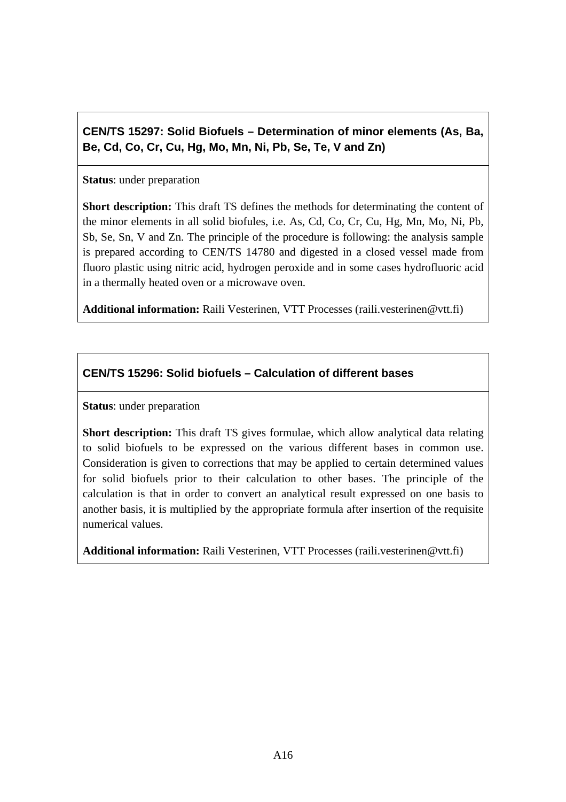**CEN/TS 15297: Solid Biofuels – Determination of minor elements (As, Ba, Be, Cd, Co, Cr, Cu, Hg, Mo, Mn, Ni, Pb, Se, Te, V and Zn)** 

#### **Status**: under preparation

**Short description:** This draft TS defines the methods for determinating the content of the minor elements in all solid biofules, i.e. As, Cd, Co, Cr, Cu, Hg, Mn, Mo, Ni, Pb, Sb, Se, Sn, V and Zn. The principle of the procedure is following: the analysis sample is prepared according to CEN/TS 14780 and digested in a closed vessel made from fluoro plastic using nitric acid, hydrogen peroxide and in some cases hydrofluoric acid in a thermally heated oven or a microwave oven.

**Additional information:** Raili Vesterinen, VTT Processes (raili.vesterinen@vtt.fi)

#### **CEN/TS 15296: Solid biofuels – Calculation of different bases**

**Status**: under preparation

**Short description:** This draft TS gives formulae, which allow analytical data relating to solid biofuels to be expressed on the various different bases in common use. Consideration is given to corrections that may be applied to certain determined values for solid biofuels prior to their calculation to other bases. The principle of the calculation is that in order to convert an analytical result expressed on one basis to another basis, it is multiplied by the appropriate formula after insertion of the requisite numerical values.

**Additional information:** Raili Vesterinen, VTT Processes (raili.vesterinen@vtt.fi)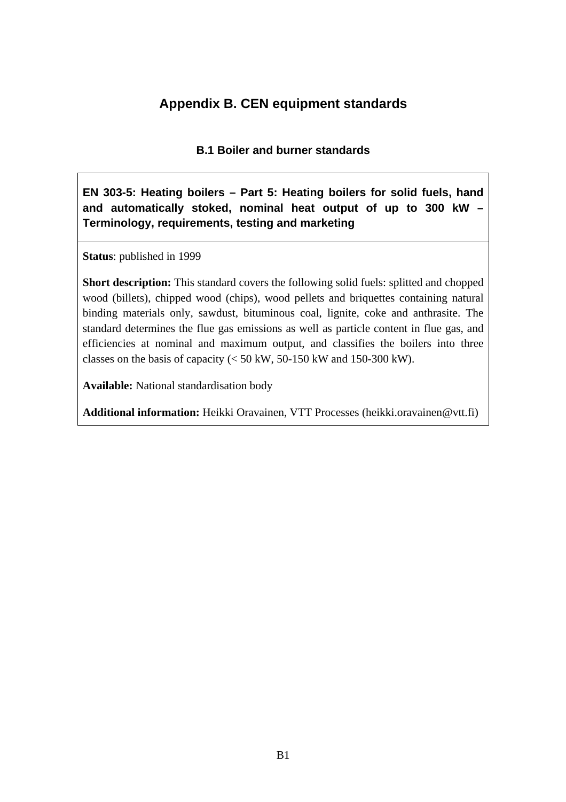## **Appendix B. CEN equipment standards**

**B.1 Boiler and burner standards** 

**EN 303-5: Heating boilers – Part 5: Heating boilers for solid fuels, hand and automatically stoked, nominal heat output of up to 300 kW – Terminology, requirements, testing and marketing** 

**Status**: published in 1999

**Short description:** This standard covers the following solid fuels: splitted and chopped wood (billets), chipped wood (chips), wood pellets and briquettes containing natural binding materials only, sawdust, bituminous coal, lignite, coke and anthrasite. The standard determines the flue gas emissions as well as particle content in flue gas, and efficiencies at nominal and maximum output, and classifies the boilers into three classes on the basis of capacity  $(< 50 \text{ kW}, 50\text{-}150 \text{ kW}$  and 150-300 kW).

**Available:** National standardisation body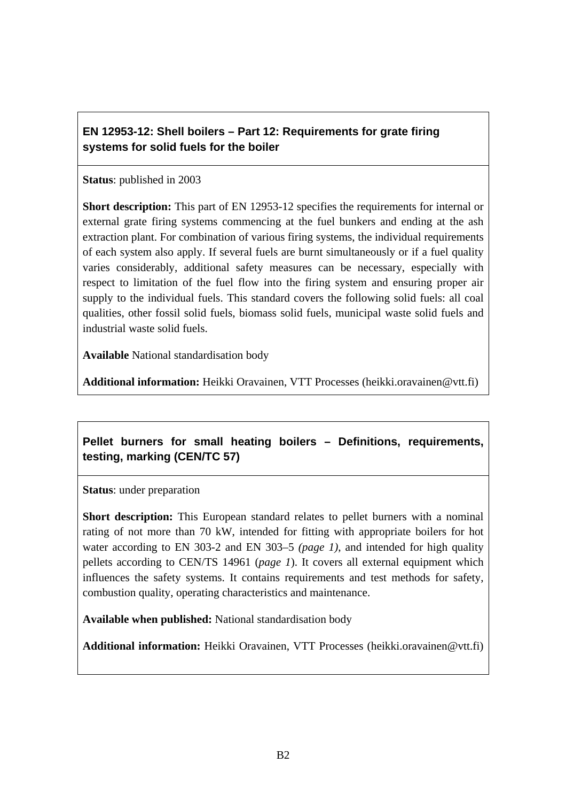## **EN 12953-12: Shell boilers – Part 12: Requirements for grate firing systems for solid fuels for the boiler**

#### **Status**: published in 2003

**Short description:** This part of EN 12953-12 specifies the requirements for internal or external grate firing systems commencing at the fuel bunkers and ending at the ash extraction plant. For combination of various firing systems, the individual requirements of each system also apply. If several fuels are burnt simultaneously or if a fuel quality varies considerably, additional safety measures can be necessary, especially with respect to limitation of the fuel flow into the firing system and ensuring proper air supply to the individual fuels. This standard covers the following solid fuels: all coal qualities, other fossil solid fuels, biomass solid fuels, municipal waste solid fuels and industrial waste solid fuels.

**Available** National standardisation body

**Additional information:** Heikki Oravainen, VTT Processes (heikki.oravainen@vtt.fi)

## **Pellet burners for small heating boilers – Definitions, requirements, testing, marking (CEN/TC 57)**

**Status**: under preparation

**Short description:** This European standard relates to pellet burners with a nominal rating of not more than 70 kW, intended for fitting with appropriate boilers for hot water according to EN 303-2 and EN 303–5 *(page 1)*, and intended for high quality pellets according to CEN/TS 14961 (*page 1*). It covers all external equipment which influences the safety systems. It contains requirements and test methods for safety, combustion quality, operating characteristics and maintenance.

**Available when published:** National standardisation body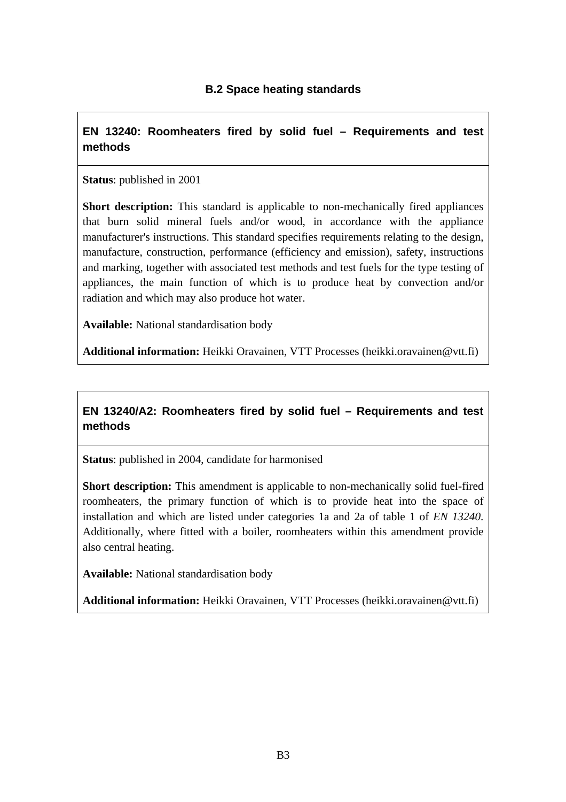#### **EN 13240: Roomheaters fired by solid fuel – Requirements and test methods**

#### **Status**: published in 2001

**Short description:** This standard is applicable to non-mechanically fired appliances that burn solid mineral fuels and/or wood, in accordance with the appliance manufacturer's instructions. This standard specifies requirements relating to the design, manufacture, construction, performance (efficiency and emission), safety, instructions and marking, together with associated test methods and test fuels for the type testing of appliances, the main function of which is to produce heat by convection and/or radiation and which may also produce hot water.

**Available:** National standardisation body

**Additional information:** Heikki Oravainen, VTT Processes (heikki.oravainen@vtt.fi)

## **EN 13240/A2: Roomheaters fired by solid fuel – Requirements and test methods**

**Status**: published in 2004, candidate for harmonised

**Short description:** This amendment is applicable to non-mechanically solid fuel-fired roomheaters, the primary function of which is to provide heat into the space of installation and which are listed under categories 1a and 2a of table 1 of *EN 13240*. Additionally, where fitted with a boiler, roomheaters within this amendment provide also central heating.

**Available:** National standardisation body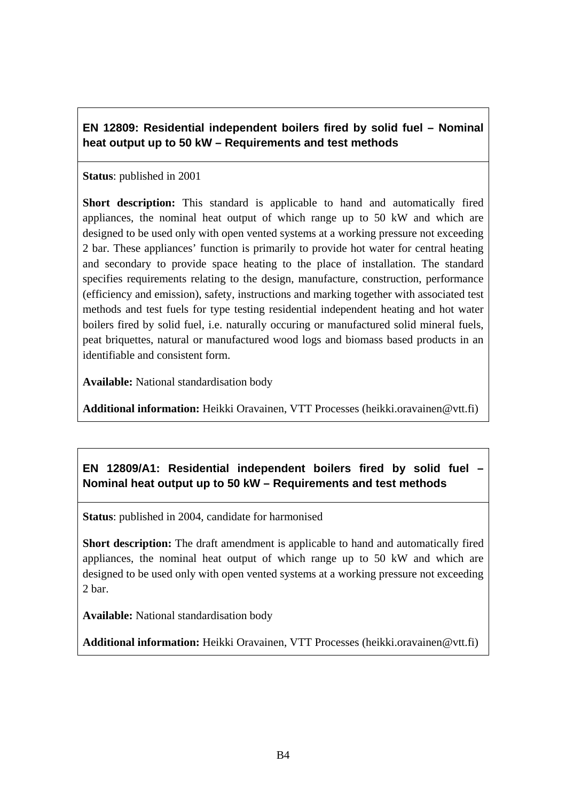## **EN 12809: Residential independent boilers fired by solid fuel – Nominal heat output up to 50 kW – Requirements and test methods**

#### **Status**: published in 2001

**Short description:** This standard is applicable to hand and automatically fired appliances, the nominal heat output of which range up to 50 kW and which are designed to be used only with open vented systems at a working pressure not exceeding 2 bar. These appliances' function is primarily to provide hot water for central heating and secondary to provide space heating to the place of installation. The standard specifies requirements relating to the design, manufacture, construction, performance (efficiency and emission), safety, instructions and marking together with associated test methods and test fuels for type testing residential independent heating and hot water boilers fired by solid fuel, i.e. naturally occuring or manufactured solid mineral fuels, peat briquettes, natural or manufactured wood logs and biomass based products in an identifiable and consistent form.

**Available:** National standardisation body

**Additional information:** Heikki Oravainen, VTT Processes (heikki.oravainen@vtt.fi)

## **EN 12809/A1: Residential independent boilers fired by solid fuel – Nominal heat output up to 50 kW – Requirements and test methods**

**Status**: published in 2004, candidate for harmonised

**Short description:** The draft amendment is applicable to hand and automatically fired appliances, the nominal heat output of which range up to 50 kW and which are designed to be used only with open vented systems at a working pressure not exceeding 2 bar.

**Available:** National standardisation body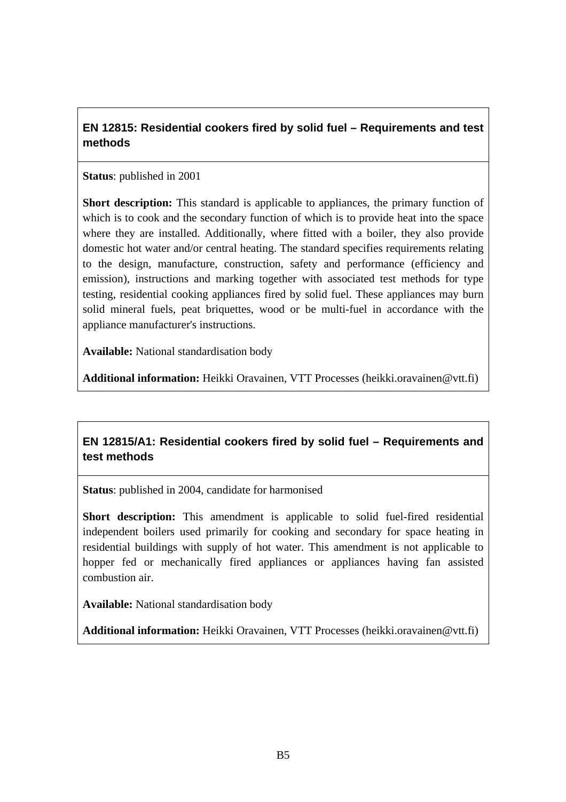## **EN 12815: Residential cookers fired by solid fuel – Requirements and test methods**

#### **Status**: published in 2001

**Short description:** This standard is applicable to appliances, the primary function of which is to cook and the secondary function of which is to provide heat into the space where they are installed. Additionally, where fitted with a boiler, they also provide domestic hot water and/or central heating. The standard specifies requirements relating to the design, manufacture, construction, safety and performance (efficiency and emission), instructions and marking together with associated test methods for type testing, residential cooking appliances fired by solid fuel. These appliances may burn solid mineral fuels, peat briquettes, wood or be multi-fuel in accordance with the appliance manufacturer's instructions.

**Available:** National standardisation body

**Additional information:** Heikki Oravainen, VTT Processes (heikki.oravainen@vtt.fi)

## **EN 12815/A1: Residential cookers fired by solid fuel – Requirements and test methods**

**Status**: published in 2004, candidate for harmonised

**Short description:** This amendment is applicable to solid fuel-fired residential independent boilers used primarily for cooking and secondary for space heating in residential buildings with supply of hot water. This amendment is not applicable to hopper fed or mechanically fired appliances or appliances having fan assisted combustion air.

**Available:** National standardisation body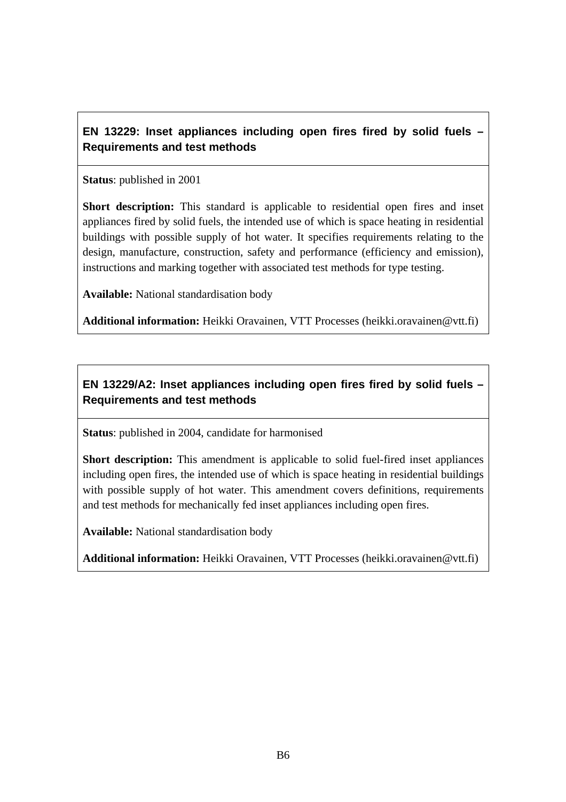## **EN 13229: Inset appliances including open fires fired by solid fuels – Requirements and test methods**

**Status**: published in 2001

**Short description:** This standard is applicable to residential open fires and inset appliances fired by solid fuels, the intended use of which is space heating in residential buildings with possible supply of hot water. It specifies requirements relating to the design, manufacture, construction, safety and performance (efficiency and emission), instructions and marking together with associated test methods for type testing.

**Available:** National standardisation body

**Additional information:** Heikki Oravainen, VTT Processes (heikki.oravainen@vtt.fi)

## **EN 13229/A2: Inset appliances including open fires fired by solid fuels – Requirements and test methods**

**Status**: published in 2004, candidate for harmonised

**Short description:** This amendment is applicable to solid fuel-fired inset appliances including open fires, the intended use of which is space heating in residential buildings with possible supply of hot water. This amendment covers definitions, requirements and test methods for mechanically fed inset appliances including open fires.

**Available:** National standardisation body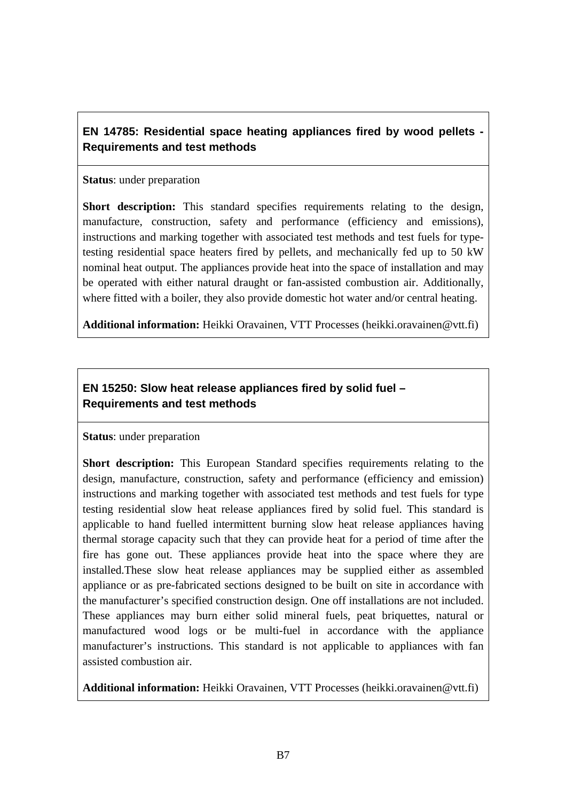## **EN 14785: Residential space heating appliances fired by wood pellets - Requirements and test methods**

#### **Status**: under preparation

**Short description:** This standard specifies requirements relating to the design, manufacture, construction, safety and performance (efficiency and emissions), instructions and marking together with associated test methods and test fuels for typetesting residential space heaters fired by pellets, and mechanically fed up to 50 kW nominal heat output. The appliances provide heat into the space of installation and may be operated with either natural draught or fan-assisted combustion air. Additionally, where fitted with a boiler, they also provide domestic hot water and/or central heating.

**Additional information:** Heikki Oravainen, VTT Processes (heikki.oravainen@vtt.fi)

## **EN 15250: Slow heat release appliances fired by solid fuel – Requirements and test methods**

#### **Status**: under preparation

**Short description:** This European Standard specifies requirements relating to the design, manufacture, construction, safety and performance (efficiency and emission) instructions and marking together with associated test methods and test fuels for type testing residential slow heat release appliances fired by solid fuel. This standard is applicable to hand fuelled intermittent burning slow heat release appliances having thermal storage capacity such that they can provide heat for a period of time after the fire has gone out. These appliances provide heat into the space where they are installed.These slow heat release appliances may be supplied either as assembled appliance or as pre-fabricated sections designed to be built on site in accordance with the manufacturer's specified construction design. One off installations are not included. These appliances may burn either solid mineral fuels, peat briquettes, natural or manufactured wood logs or be multi-fuel in accordance with the appliance manufacturer's instructions. This standard is not applicable to appliances with fan assisted combustion air.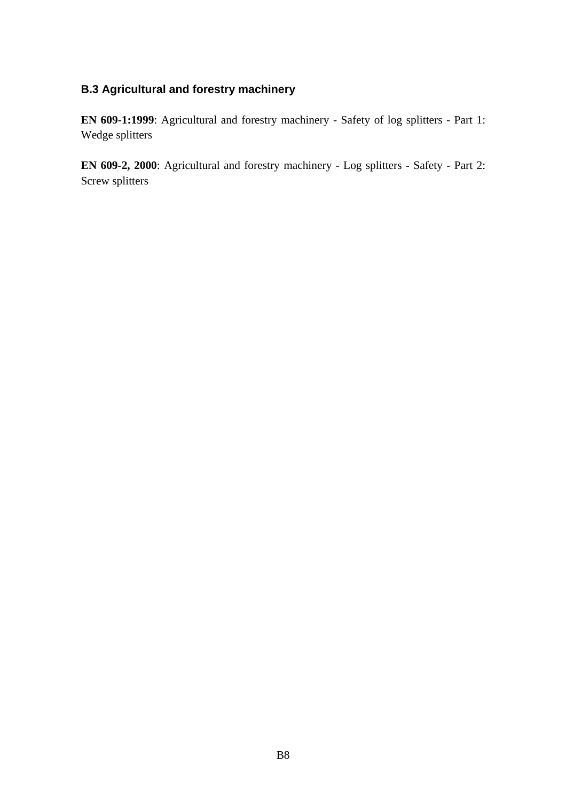#### **B.3 Agricultural and forestry machinery**

**EN 609-1:1999**: Agricultural and forestry machinery - Safety of log splitters - Part 1: Wedge splitters

**EN 609-2, 2000**: Agricultural and forestry machinery - Log splitters - Safety - Part 2: Screw splitters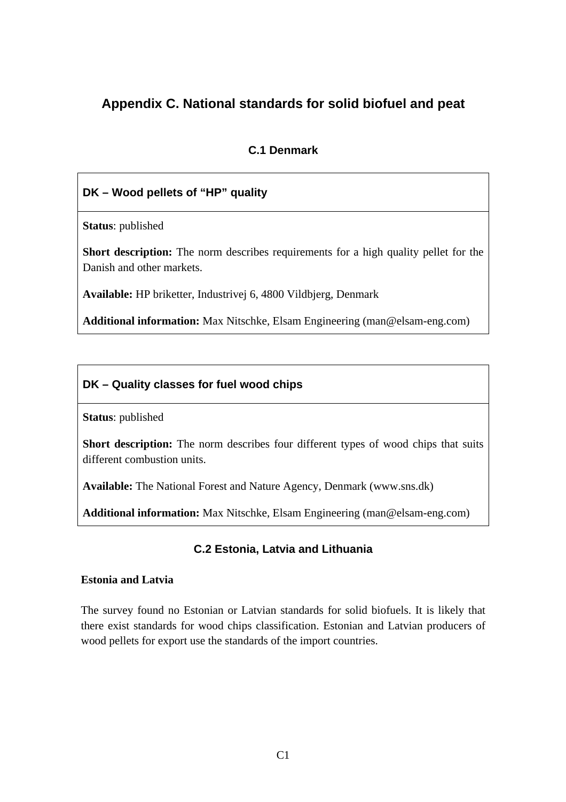## **Appendix C. National standards for solid biofuel and peat**

## **C.1 Denmark**

## **DK – Wood pellets of "HP" quality**

**Status**: published

**Short description:** The norm describes requirements for a high quality pellet for the Danish and other markets.

**Available:** HP briketter, Industrivej 6, 4800 Vildbjerg, Denmark

**Additional information:** Max Nitschke, Elsam Engineering (man@elsam-eng.com)

## **DK – Quality classes for fuel wood chips**

**Status**: published

**Short description:** The norm describes four different types of wood chips that suits different combustion units.

**Available:** The National Forest and Nature Agency, Denmark (www.sns.dk)

**Additional information:** Max Nitschke, Elsam Engineering (man@elsam-eng.com)

#### **C.2 Estonia, Latvia and Lithuania**

#### **Estonia and Latvia**

The survey found no Estonian or Latvian standards for solid biofuels. It is likely that there exist standards for wood chips classification. Estonian and Latvian producers of wood pellets for export use the standards of the import countries.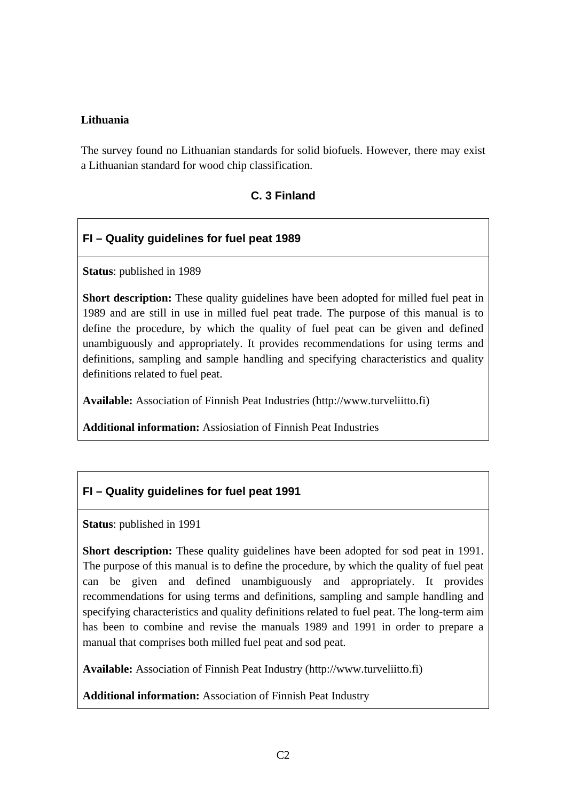#### **Lithuania**

The survey found no Lithuanian standards for solid biofuels. However, there may exist a Lithuanian standard for wood chip classification.

#### **C. 3 Finland**

#### **FI – Quality guidelines for fuel peat 1989**

**Status**: published in 1989

**Short description:** These quality guidelines have been adopted for milled fuel peat in 1989 and are still in use in milled fuel peat trade. The purpose of this manual is to define the procedure, by which the quality of fuel peat can be given and defined unambiguously and appropriately. It provides recommendations for using terms and definitions, sampling and sample handling and specifying characteristics and quality definitions related to fuel peat.

**Available:** Association of Finnish Peat Industries (http://www.turveliitto.fi)

**Additional information:** Assiosiation of Finnish Peat Industries

#### **FI – Quality guidelines for fuel peat 1991**

**Status**: published in 1991

**Short description:** These quality guidelines have been adopted for sod peat in 1991. The purpose of this manual is to define the procedure, by which the quality of fuel peat can be given and defined unambiguously and appropriately. It provides recommendations for using terms and definitions, sampling and sample handling and specifying characteristics and quality definitions related to fuel peat. The long-term aim has been to combine and revise the manuals 1989 and 1991 in order to prepare a manual that comprises both milled fuel peat and sod peat.

**Available:** Association of Finnish Peat Industry (http://www.turveliitto.fi)

**Additional information:** Association of Finnish Peat Industry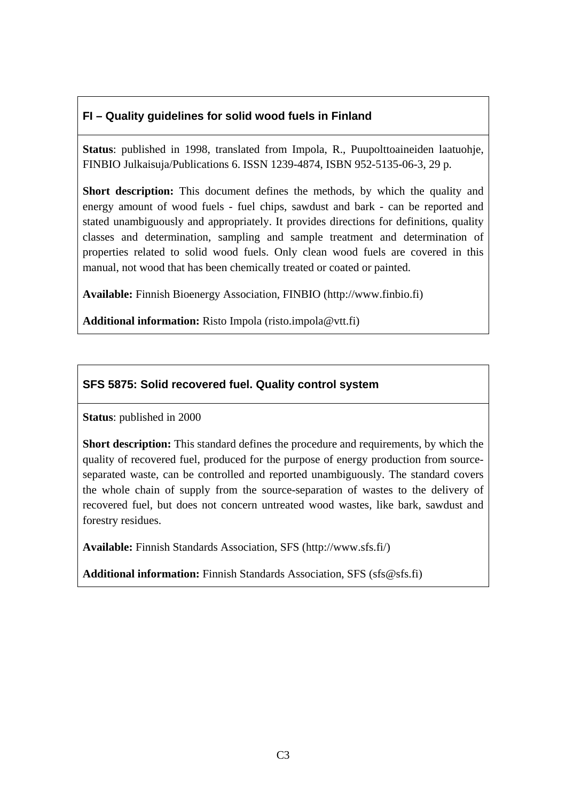## **FI – Quality guidelines for solid wood fuels in Finland**

**Status**: published in 1998, translated from Impola, R., Puupolttoaineiden laatuohje, FINBIO Julkaisuja/Publications 6. ISSN 1239-4874, ISBN 952-5135-06-3, 29 p.

**Short description:** This document defines the methods, by which the quality and energy amount of wood fuels - fuel chips, sawdust and bark - can be reported and stated unambiguously and appropriately. It provides directions for definitions, quality classes and determination, sampling and sample treatment and determination of properties related to solid wood fuels. Only clean wood fuels are covered in this manual, not wood that has been chemically treated or coated or painted.

**Available:** Finnish Bioenergy Association, FINBIO (http://www.finbio.fi)

Additional information: Risto Impola (risto.impola@vtt.fi)

## **SFS 5875: Solid recovered fuel. Quality control system**

**Status**: published in 2000

**Short description:** This standard defines the procedure and requirements, by which the quality of recovered fuel, produced for the purpose of energy production from sourceseparated waste, can be controlled and reported unambiguously. The standard covers the whole chain of supply from the source-separation of wastes to the delivery of recovered fuel, but does not concern untreated wood wastes, like bark, sawdust and forestry residues.

**Available:** Finnish Standards Association, SFS (http://www.sfs.fi/)

**Additional information:** Finnish Standards Association, SFS (sfs@sfs.fi)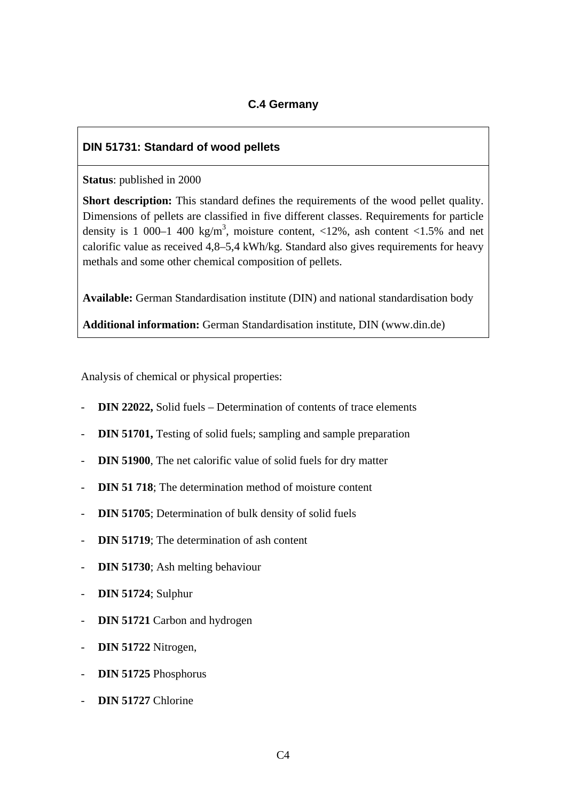#### **C.4 Germany**

#### **DIN 51731: Standard of wood pellets**

**Status**: published in 2000

**Short description:** This standard defines the requirements of the wood pellet quality. Dimensions of pellets are classified in five different classes. Requirements for particle density is 1 000–1 400 kg/m<sup>3</sup>, moisture content,  $\langle 12\%$ , ash content  $\langle 1.5\%$  and net calorific value as received 4,8–5,4 kWh/kg. Standard also gives requirements for heavy methals and some other chemical composition of pellets.

**Available:** German Standardisation institute (DIN) and national standardisation body

**Additional information:** German Standardisation institute, DIN (www.din.de)

Analysis of chemical or physical properties:

- **DIN 22022,** Solid fuels Determination of contents of trace elements
- **DIN 51701,** Testing of solid fuels; sampling and sample preparation
- **DIN 51900**, The net calorific value of solid fuels for dry matter
- **DIN 51 718**; The determination method of moisture content
- **DIN 51705**; Determination of bulk density of solid fuels
- **DIN 51719**: The determination of ash content
- **DIN 51730**; Ash melting behaviour
- **DIN 51724**; Sulphur
- **DIN 51721** Carbon and hydrogen
- **DIN 51722** Nitrogen,
- **DIN 51725** Phosphorus
- **DIN 51727** Chlorine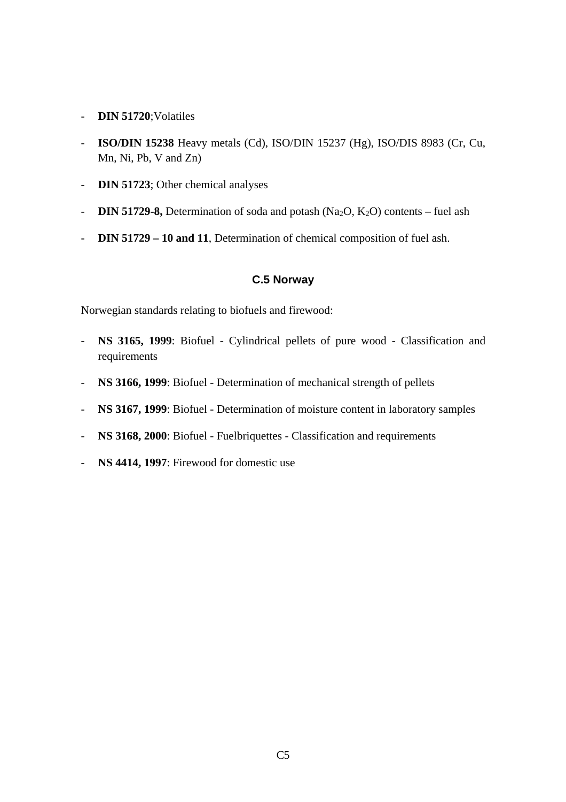- **DIN 51720**;Volatiles
- **ISO/DIN 15238** Heavy metals (Cd), ISO/DIN 15237 (Hg), ISO/DIS 8983 (Cr, Cu, Mn, Ni, Pb, V and Zn)
- **DIN 51723**; Other chemical analyses
- **DIN 51729-8,** Determination of soda and potash (Na<sub>2</sub>O, K<sub>2</sub>O) contents fuel ash
- **DIN 51729 10 and 11**, Determination of chemical composition of fuel ash.

#### **C.5 Norway**

Norwegian standards relating to biofuels and firewood:

- **NS 3165, 1999**: Biofuel Cylindrical pellets of pure wood Classification and requirements
- **NS 3166, 1999**: Biofuel Determination of mechanical strength of pellets
- **NS 3167, 1999**: Biofuel Determination of moisture content in laboratory samples
- **NS 3168, 2000**: Biofuel Fuelbriquettes Classification and requirements
- **NS 4414, 1997**: Firewood for domestic use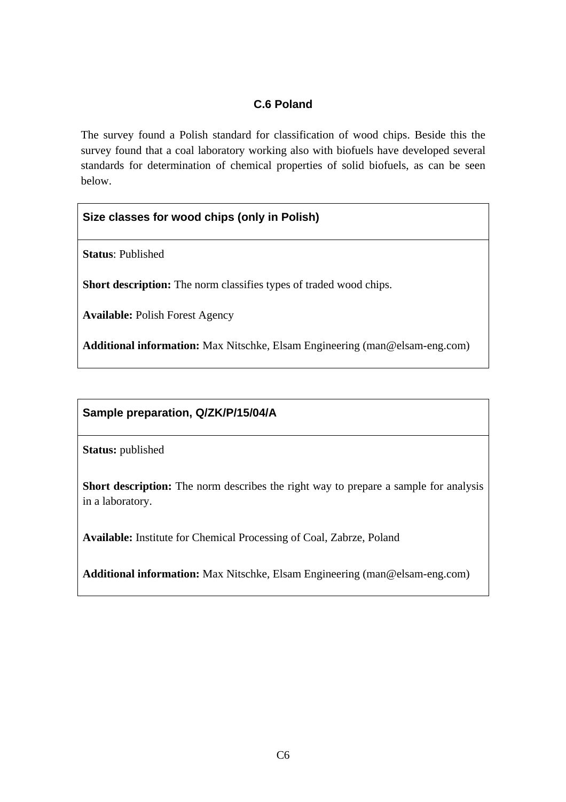## **C.6 Poland**

The survey found a Polish standard for classification of wood chips. Beside this the survey found that a coal laboratory working also with biofuels have developed several standards for determination of chemical properties of solid biofuels, as can be seen below.

#### **Size classes for wood chips (only in Polish)**

**Status**: Published

Short description: The norm classifies types of traded wood chips.

**Available:** Polish Forest Agency

**Additional information:** Max Nitschke, Elsam Engineering (man@elsam-eng.com)

#### **Sample preparation, Q/ZK/P/15/04/A**

**Status:** published

**Short description:** The norm describes the right way to prepare a sample for analysis in a laboratory.

**Available:** Institute for Chemical Processing of Coal, Zabrze, Poland

**Additional information:** Max Nitschke, Elsam Engineering (man@elsam-eng.com)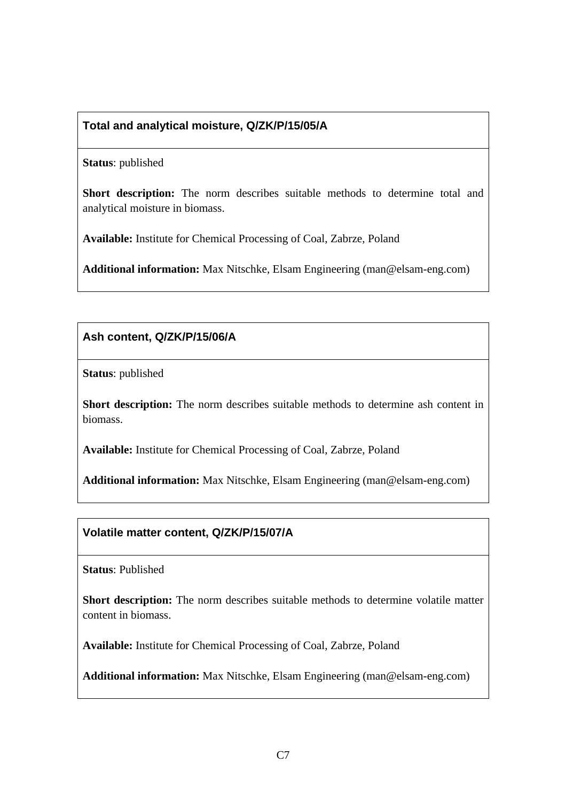## **Total and analytical moisture, Q/ZK/P/15/05/A**

#### **Status**: published

Short description: The norm describes suitable methods to determine total and analytical moisture in biomass.

**Available:** Institute for Chemical Processing of Coal, Zabrze, Poland

**Additional information:** Max Nitschke, Elsam Engineering (man@elsam-eng.com)

**Ash content, Q/ZK/P/15/06/A**

**Status**: published

**Short description:** The norm describes suitable methods to determine ash content in biomass.

**Available:** Institute for Chemical Processing of Coal, Zabrze, Poland

**Additional information:** Max Nitschke, Elsam Engineering (man@elsam-eng.com)

#### **Volatile matter content, Q/ZK/P/15/07/A**

**Status**: Published

**Short description:** The norm describes suitable methods to determine volatile matter content in biomass.

**Available:** Institute for Chemical Processing of Coal, Zabrze, Poland

**Additional information:** Max Nitschke, Elsam Engineering (man@elsam-eng.com)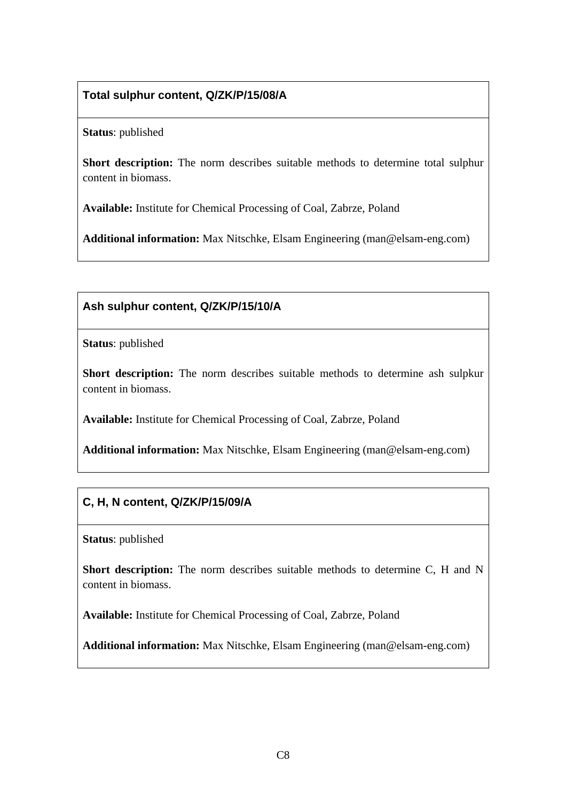## **Total sulphur content, Q/ZK/P/15/08/A**

**Status**: published

**Short description:** The norm describes suitable methods to determine total sulphur content in biomass.

**Available:** Institute for Chemical Processing of Coal, Zabrze, Poland

**Additional information:** Max Nitschke, Elsam Engineering (man@elsam-eng.com)

#### **Ash sulphur content, Q/ZK/P/15/10/A**

**Status**: published

**Short description:** The norm describes suitable methods to determine ash sulpkur content in biomass.

**Available:** Institute for Chemical Processing of Coal, Zabrze, Poland

**Additional information:** Max Nitschke, Elsam Engineering (man@elsam-eng.com)

## **C, H, N content, Q/ZK/P/15/09/A**

**Status**: published

Short description: The norm describes suitable methods to determine C, H and N content in biomass.

**Available:** Institute for Chemical Processing of Coal, Zabrze, Poland

**Additional information:** Max Nitschke, Elsam Engineering (man@elsam-eng.com)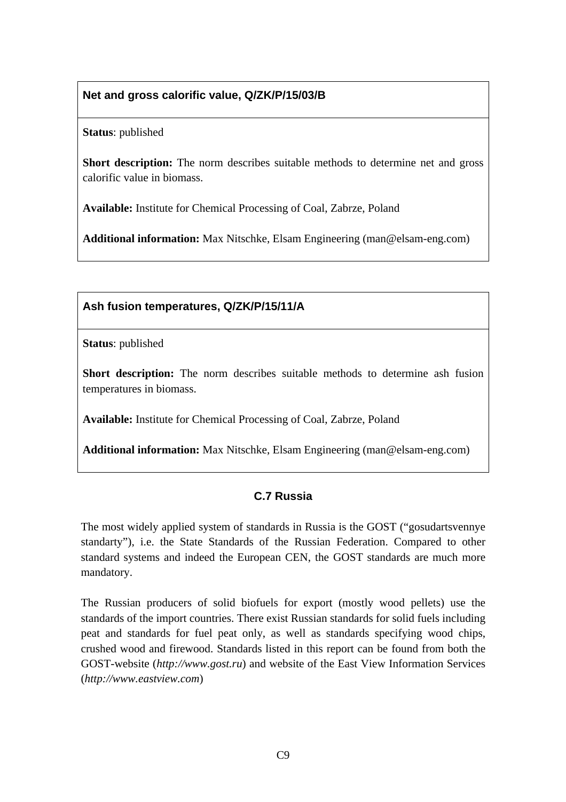## **Net and gross calorific value, Q/ZK/P/15/03/B**

**Status**: published

**Short description:** The norm describes suitable methods to determine net and gross calorific value in biomass.

**Available:** Institute for Chemical Processing of Coal, Zabrze, Poland

**Additional information:** Max Nitschke, Elsam Engineering (man@elsam-eng.com)

#### **Ash fusion temperatures, Q/ZK/P/15/11/A**

**Status**: published

**Short description:** The norm describes suitable methods to determine ash fusion temperatures in biomass.

**Available:** Institute for Chemical Processing of Coal, Zabrze, Poland

**Additional information:** Max Nitschke, Elsam Engineering (man@elsam-eng.com)

## **C.7 Russia**

The most widely applied system of standards in Russia is the GOST ("gosudartsvennye standarty"), i.e. the State Standards of the Russian Federation. Compared to other standard systems and indeed the European CEN, the GOST standards are much more mandatory.

The Russian producers of solid biofuels for export (mostly wood pellets) use the standards of the import countries. There exist Russian standards for solid fuels including peat and standards for fuel peat only, as well as standards specifying wood chips, crushed wood and firewood. Standards listed in this report can be found from both the GOST-website (*http://www.gost.ru*) and website of the East View Information Services (*http://www.eastview.com*)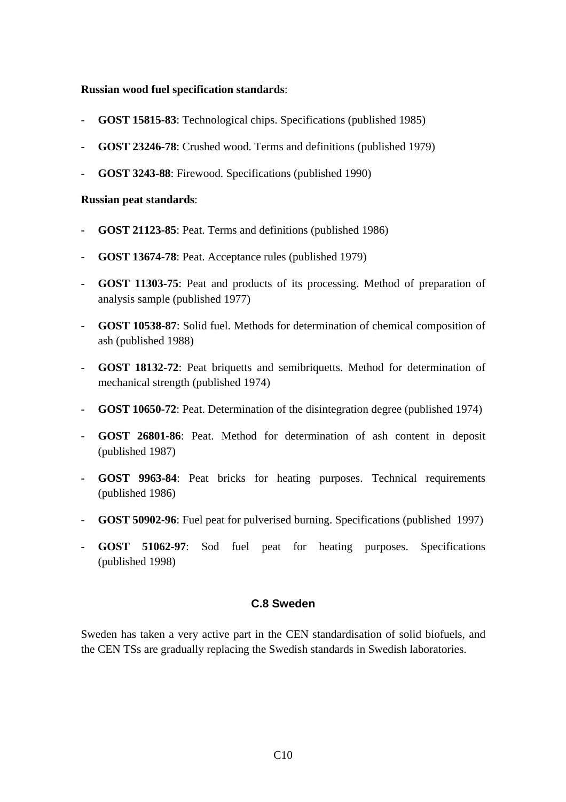#### **Russian wood fuel specification standards**:

- **GOST 15815-83**: Technological chips. Specifications (published 1985)
- **GOST 23246-78**: Crushed wood. Terms and definitions (published 1979)
- **GOST 3243-88**: Firewood. Specifications (published 1990)

#### **Russian peat standards**:

- **GOST 21123-85**: Peat. Terms and definitions (published 1986)
- **GOST 13674-78**: Peat. Acceptance rules (published 1979)
- **GOST 11303-75**: Peat and products of its processing. Method of preparation of analysis sample (published 1977)
- **GOST 10538-87**: Solid fuel. Methods for determination of chemical composition of ash (published 1988)
- **GOST 18132-72**: Peat briquetts and semibriquetts. Method for determination of mechanical strength (published 1974)
- **GOST 10650-72**: Peat. Determination of the disintegration degree (published 1974)
- **GOST 26801-86**: Peat. Method for determination of ash content in deposit (published 1987)
- **GOST 9963-84**: Peat bricks for heating purposes. Technical requirements (published 1986)
- **GOST 50902-96**: Fuel peat for pulverised burning. Specifications (published 1997)
- **GOST 51062-97**: Sod fuel peat for heating purposes. Specifications (published 1998)

#### **C.8 Sweden**

Sweden has taken a very active part in the CEN standardisation of solid biofuels, and the CEN TSs are gradually replacing the Swedish standards in Swedish laboratories.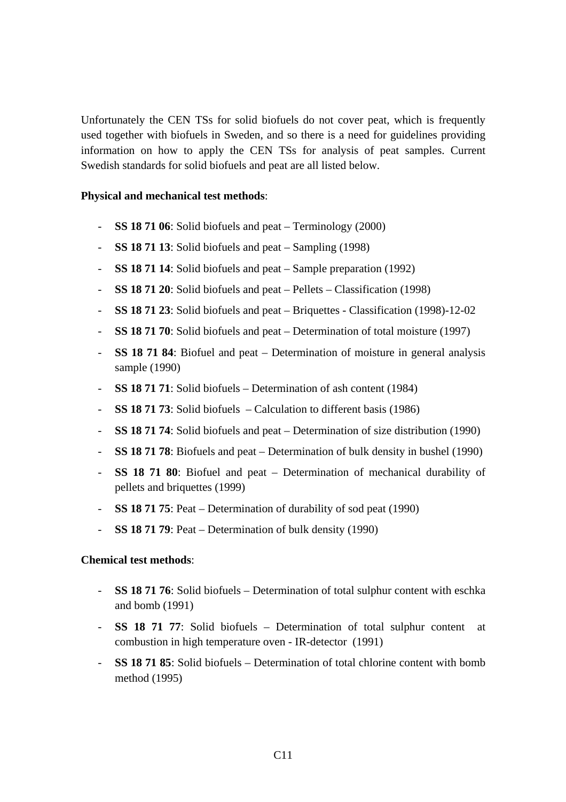Unfortunately the CEN TSs for solid biofuels do not cover peat, which is frequently used together with biofuels in Sweden, and so there is a need for guidelines providing information on how to apply the CEN TSs for analysis of peat samples. Current Swedish standards for solid biofuels and peat are all listed below.

#### **Physical and mechanical test methods**:

- **SS 18 71 06**: Solid biofuels and peat Terminology (2000)
- **SS 18 71 13**: Solid biofuels and peat Sampling (1998)
- **SS 18 71 14**: Solid biofuels and peat Sample preparation (1992)
- **SS 18 71 20**: Solid biofuels and peat Pellets Classification (1998)
- **SS 18 71 23**: Solid biofuels and peat Briquettes Classification (1998)-12-02
- **SS 18 71 70**: Solid biofuels and peat Determination of total moisture (1997)
- **SS 18 71 84**: Biofuel and peat Determination of moisture in general analysis sample (1990)
- **SS 18 71 71**: Solid biofuels Determination of ash content (1984)
- **SS 18 71 73**: Solid biofuels Calculation to different basis (1986)
- **SS 18 71 74**: Solid biofuels and peat Determination of size distribution (1990)
- **SS 18 71 78**: Biofuels and peat Determination of bulk density in bushel (1990)
- **SS 18 71 80**: Biofuel and peat Determination of mechanical durability of pellets and briquettes (1999)
- **SS 18 71 75**: Peat Determination of durability of sod peat (1990)
- **SS 18 71 79**: Peat Determination of bulk density (1990)

#### **Chemical test methods**:

- **SS 18 71 76**: Solid biofuels Determination of total sulphur content with eschka and bomb (1991)
- **SS 18 71 77**: Solid biofuels Determination of total sulphur content at combustion in high temperature oven - IR-detector (1991)
- **SS 18 71 85**: Solid biofuels Determination of total chlorine content with bomb method (1995)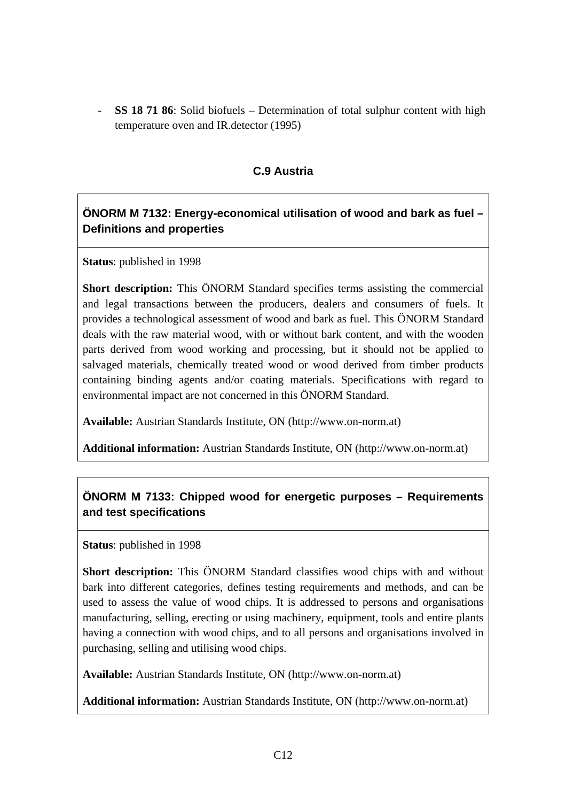- **SS 18 71 86**: Solid biofuels – Determination of total sulphur content with high temperature oven and IR.detector (1995)

#### **C.9 Austria**

## **ÖNORM M 7132: Energy-economical utilisation of wood and bark as fuel – Definitions and properties**

**Status**: published in 1998

**Short description:** This ÖNORM Standard specifies terms assisting the commercial and legal transactions between the producers, dealers and consumers of fuels. It provides a technological assessment of wood and bark as fuel. This ÖNORM Standard deals with the raw material wood, with or without bark content, and with the wooden parts derived from wood working and processing, but it should not be applied to salvaged materials, chemically treated wood or wood derived from timber products containing binding agents and/or coating materials. Specifications with regard to environmental impact are not concerned in this ÖNORM Standard.

**Available:** Austrian Standards Institute, ON (http://www.on-norm.at)

**Additional information:** Austrian Standards Institute, ON (http://www.on-norm.at)

## **ÖNORM M 7133: Chipped wood for energetic purposes – Requirements and test specifications**

**Status**: published in 1998

**Short description:** This ÖNORM Standard classifies wood chips with and without bark into different categories, defines testing requirements and methods, and can be used to assess the value of wood chips. It is addressed to persons and organisations manufacturing, selling, erecting or using machinery, equipment, tools and entire plants having a connection with wood chips, and to all persons and organisations involved in purchasing, selling and utilising wood chips.

**Available:** Austrian Standards Institute, ON (http://www.on-norm.at)

**Additional information:** Austrian Standards Institute, ON (http://www.on-norm.at)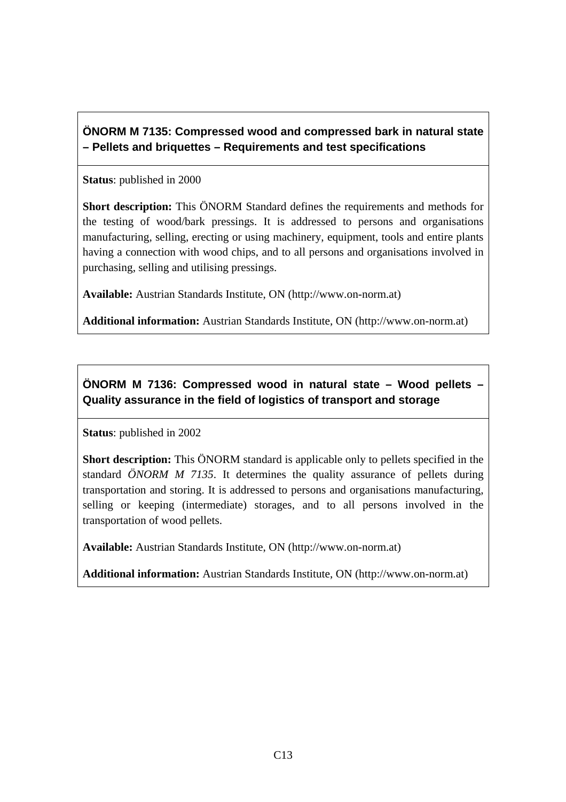## **ÖNORM M 7135: Compressed wood and compressed bark in natural state – Pellets and briquettes – Requirements and test specifications**

**Status**: published in 2000

**Short description:** This ÖNORM Standard defines the requirements and methods for the testing of wood/bark pressings. It is addressed to persons and organisations manufacturing, selling, erecting or using machinery, equipment, tools and entire plants having a connection with wood chips, and to all persons and organisations involved in purchasing, selling and utilising pressings.

**Available:** Austrian Standards Institute, ON (http://www.on-norm.at)

**Additional information:** Austrian Standards Institute, ON (http://www.on-norm.at)

**ÖNORM M 7136: Compressed wood in natural state – Wood pellets – Quality assurance in the field of logistics of transport and storage** 

**Status**: published in 2002

**Short description:** This ÖNORM standard is applicable only to pellets specified in the standard *ÖNORM M 7135*. It determines the quality assurance of pellets during transportation and storing. It is addressed to persons and organisations manufacturing, selling or keeping (intermediate) storages, and to all persons involved in the transportation of wood pellets.

**Available:** Austrian Standards Institute, ON (http://www.on-norm.at)

**Additional information:** Austrian Standards Institute, ON (http://www.on-norm.at)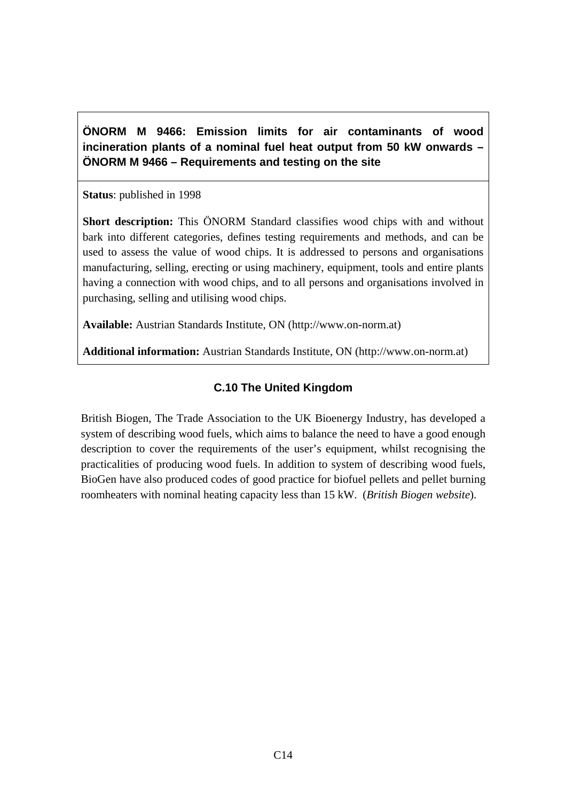**ÖNORM M 9466: Emission limits for air contaminants of wood incineration plants of a nominal fuel heat output from 50 kW onwards – ÖNORM M 9466 – Requirements and testing on the site** 

**Status**: published in 1998

**Short description:** This ÖNORM Standard classifies wood chips with and without bark into different categories, defines testing requirements and methods, and can be used to assess the value of wood chips. It is addressed to persons and organisations manufacturing, selling, erecting or using machinery, equipment, tools and entire plants having a connection with wood chips, and to all persons and organisations involved in purchasing, selling and utilising wood chips.

**Available:** Austrian Standards Institute, ON (http://www.on-norm.at)

**Additional information:** Austrian Standards Institute, ON (http://www.on-norm.at)

## **C.10 The United Kingdom**

British Biogen, The Trade Association to the UK Bioenergy Industry, has developed a system of describing wood fuels, which aims to balance the need to have a good enough description to cover the requirements of the user's equipment, whilst recognising the practicalities of producing wood fuels. In addition to system of describing wood fuels, BioGen have also produced codes of good practice for biofuel pellets and pellet burning roomheaters with nominal heating capacity less than 15 kW. (*British Biogen website*).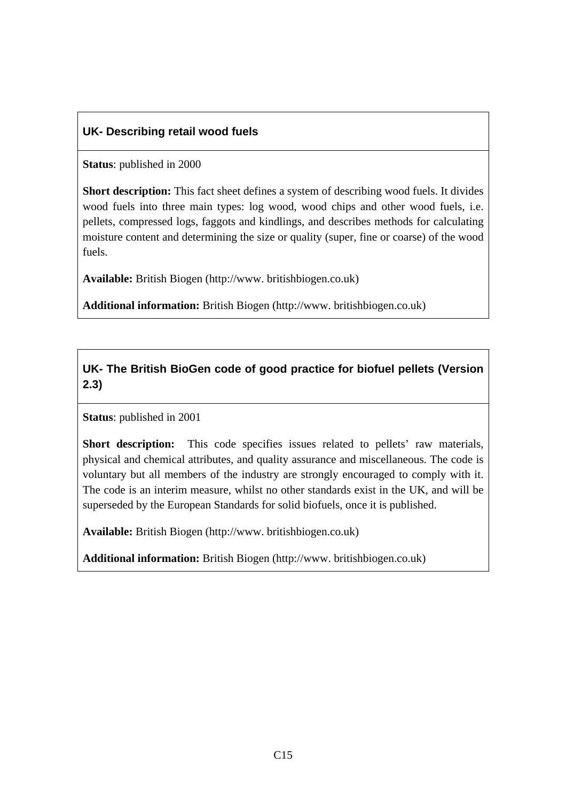#### **UK- Describing retail wood fuels**

**Status**: published in 2000

**Short description:** This fact sheet defines a system of describing wood fuels. It divides wood fuels into three main types: log wood, wood chips and other wood fuels, i.e. pellets, compressed logs, faggots and kindlings, and describes methods for calculating moisture content and determining the size or quality (super, fine or coarse) of the wood fuels.

**Available:** British Biogen (http://www. britishbiogen.co.uk)

**Additional information:** British Biogen (http://www. britishbiogen.co.uk)

## **UK- The British BioGen code of good practice for biofuel pellets (Version 2.3)**

**Status**: published in 2001

**Short description:** This code specifies issues related to pellets' raw materials, physical and chemical attributes, and quality assurance and miscellaneous. The code is voluntary but all members of the industry are strongly encouraged to comply with it. The code is an interim measure, whilst no other standards exist in the UK, and will be superseded by the European Standards for solid biofuels, once it is published.

**Available:** British Biogen (http://www. britishbiogen.co.uk)

**Additional information:** British Biogen (http://www. britishbiogen.co.uk)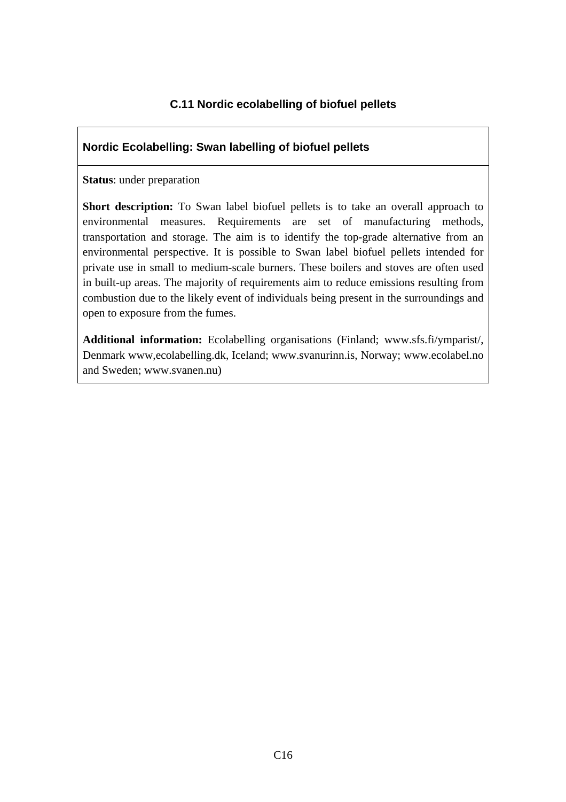## **C.11 Nordic ecolabelling of biofuel pellets**

#### **Nordic Ecolabelling: Swan labelling of biofuel pellets**

#### **Status**: under preparation

**Short description:** To Swan label biofuel pellets is to take an overall approach to environmental measures. Requirements are set of manufacturing methods, transportation and storage. The aim is to identify the top-grade alternative from an environmental perspective. It is possible to Swan label biofuel pellets intended for private use in small to medium-scale burners. These boilers and stoves are often used in built-up areas. The majority of requirements aim to reduce emissions resulting from combustion due to the likely event of individuals being present in the surroundings and open to exposure from the fumes.

**Additional information:** Ecolabelling organisations (Finland; www.sfs.fi/ymparist/, Denmark www,ecolabelling.dk, Iceland; www.svanurinn.is, Norway; www.ecolabel.no and Sweden; www.svanen.nu)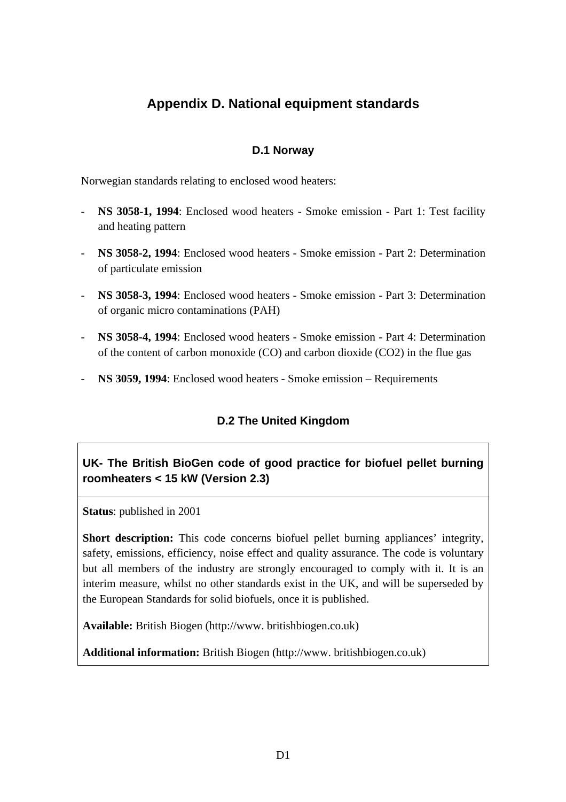## **Appendix D. National equipment standards**

#### **D.1 Norway**

Norwegian standards relating to enclosed wood heaters:

- **NS 3058-1, 1994**: Enclosed wood heaters Smoke emission Part 1: Test facility and heating pattern
- **NS 3058-2, 1994**: Enclosed wood heaters Smoke emission Part 2: Determination of particulate emission
- **NS 3058-3, 1994**: Enclosed wood heaters Smoke emission Part 3: Determination of organic micro contaminations (PAH)
- **NS 3058-4, 1994**: Enclosed wood heaters Smoke emission Part 4: Determination of the content of carbon monoxide  $(CO)$  and carbon dioxide  $(CO2)$  in the flue gas
- **NS 3059, 1994**: Enclosed wood heaters Smoke emission Requirements

## **D.2 The United Kingdom**

## **UK- The British BioGen code of good practice for biofuel pellet burning roomheaters < 15 kW (Version 2.3)**

**Status**: published in 2001

**Short description:** This code concerns biofuel pellet burning appliances' integrity, safety, emissions, efficiency, noise effect and quality assurance. The code is voluntary but all members of the industry are strongly encouraged to comply with it. It is an interim measure, whilst no other standards exist in the UK, and will be superseded by the European Standards for solid biofuels, once it is published.

**Available:** British Biogen (http://www. britishbiogen.co.uk)

**Additional information:** British Biogen (http://www. britishbiogen.co.uk)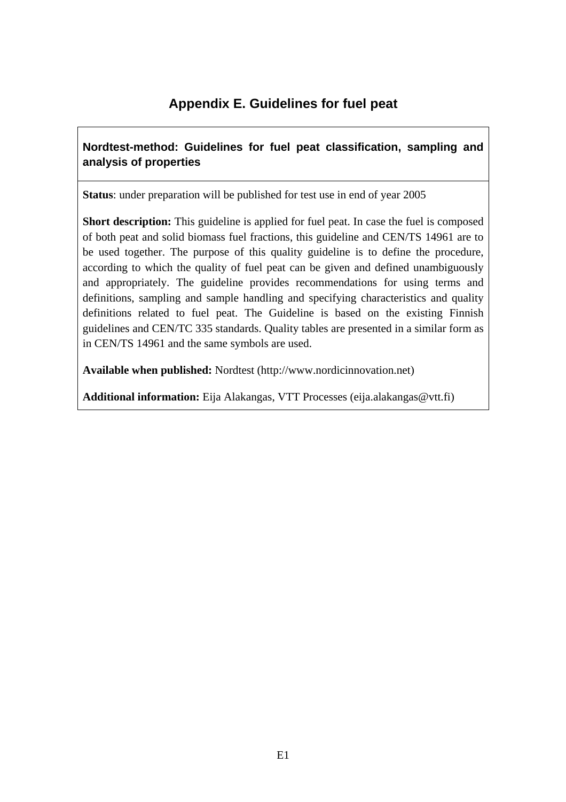## **Appendix E. Guidelines for fuel peat**

## **Nordtest-method: Guidelines for fuel peat classification, sampling and analysis of properties**

**Status**: under preparation will be published for test use in end of year 2005

**Short description:** This guideline is applied for fuel peat. In case the fuel is composed of both peat and solid biomass fuel fractions, this guideline and CEN/TS 14961 are to be used together. The purpose of this quality guideline is to define the procedure, according to which the quality of fuel peat can be given and defined unambiguously and appropriately. The guideline provides recommendations for using terms and definitions, sampling and sample handling and specifying characteristics and quality definitions related to fuel peat. The Guideline is based on the existing Finnish guidelines and CEN/TC 335 standards. Quality tables are presented in a similar form as in CEN/TS 14961 and the same symbols are used.

**Available when published:** Nordtest (http://www.nordicinnovation.net)

**Additional information:** Eija Alakangas, VTT Processes (eija.alakangas@vtt.fi)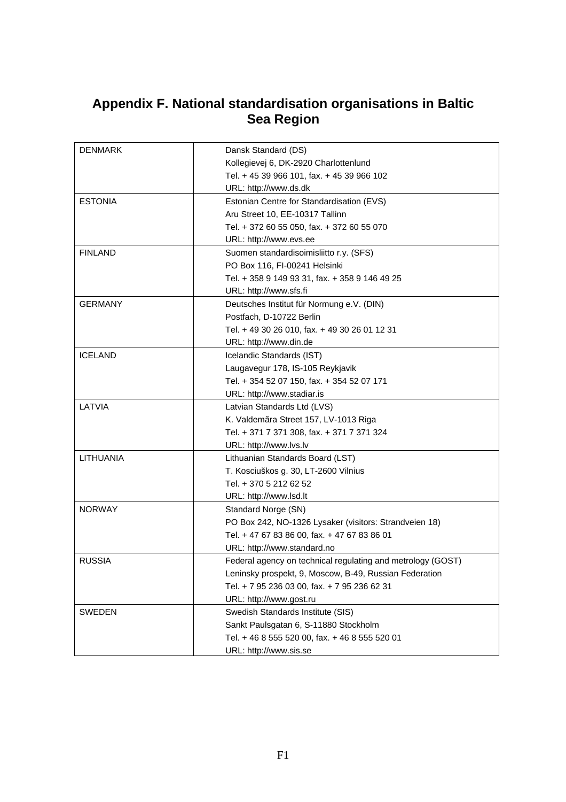## **Appendix F. National standardisation organisations in Baltic Sea Region**

| <b>DENMARK</b> | Dansk Standard (DS)                                         |
|----------------|-------------------------------------------------------------|
|                | Kollegievej 6, DK-2920 Charlottenlund                       |
|                | Tel. + 45 39 966 101, fax. + 45 39 966 102                  |
|                | URL: http://www.ds.dk                                       |
| <b>ESTONIA</b> | Estonian Centre for Standardisation (EVS)                   |
|                | Aru Street 10, EE-10317 Tallinn                             |
|                | Tel. + 372 60 55 050, fax. + 372 60 55 070                  |
|                | URL: http://www.evs.ee                                      |
| <b>FINLAND</b> | Suomen standardisoimisliitto r.y. (SFS)                     |
|                | PO Box 116, FI-00241 Helsinki                               |
|                | Tel. + 358 9 149 93 31, fax. + 358 9 146 49 25              |
|                | URL: http://www.sfs.fi                                      |
| <b>GERMANY</b> | Deutsches Institut für Normung e.V. (DIN)                   |
|                | Postfach, D-10722 Berlin                                    |
|                | Tel. + 49 30 26 010, fax. + 49 30 26 01 12 31               |
|                | URL: http://www.din.de                                      |
| <b>ICELAND</b> | Icelandic Standards (IST)                                   |
|                | Laugavegur 178, IS-105 Reykjavik                            |
|                | Tel. + 354 52 07 150, fax. + 354 52 07 171                  |
|                | URL: http://www.stadiar.is                                  |
| LATVIA         | Latvian Standards Ltd (LVS)                                 |
|                | K. Valdemãra Street 157, LV-1013 Riga                       |
|                | Tel. + 371 7 371 308, fax. + 371 7 371 324                  |
|                | URL: http://www.lvs.lv                                      |
| LITHUANIA      | Lithuanian Standards Board (LST)                            |
|                | T. Kosciuškos g. 30, LT-2600 Vilnius                        |
|                | Tel. + 370 5 212 62 52                                      |
|                | URL: http://www.lsd.lt                                      |
| <b>NORWAY</b>  | Standard Norge (SN)                                         |
|                | PO Box 242, NO-1326 Lysaker (visitors: Strandveien 18)      |
|                | Tel. + 47 67 83 86 00, fax. + 47 67 83 86 01                |
|                | URL: http://www.standard.no                                 |
| <b>RUSSIA</b>  | Federal agency on technical regulating and metrology (GOST) |
|                | Leninsky prospekt, 9, Moscow, B-49, Russian Federation      |
|                | Tel. + 7 95 236 03 00, fax. + 7 95 236 62 31                |
|                | URL: http://www.gost.ru                                     |
| <b>SWEDEN</b>  | Swedish Standards Institute (SIS)                           |
|                | Sankt Paulsgatan 6, S-11880 Stockholm                       |
|                | Tel. + 46 8 555 520 00, fax. + 46 8 555 520 01              |
|                | URL: http://www.sis.se                                      |